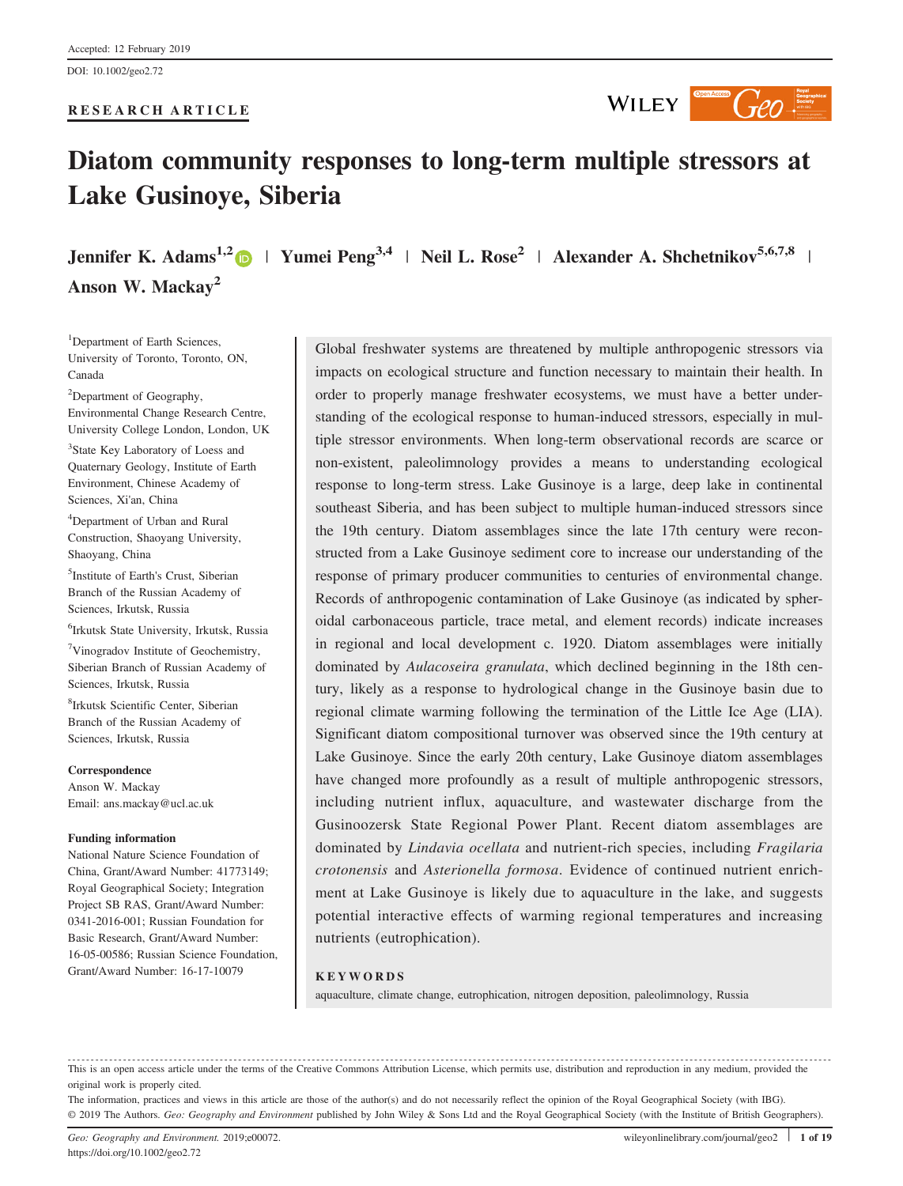#### RESEARCH ARTICLE



# Diatom community responses to long‐term multiple stressors at Lake Gusinoye, Siberia

Jennifer K. Adams<sup>1,2</sup>  $\Box$  | Yumei Peng<sup>3,4</sup> | Neil L. Rose<sup>2</sup> | Alexander A. Shchetnikov<sup>5,6,7,8</sup> | Anson W. Mackay<sup>2</sup>

<sup>1</sup>Department of Earth Sciences, University of Toronto, Toronto, ON, Canada

<sup>2</sup>Department of Geography, Environmental Change Research Centre, University College London, London, UK

<sup>3</sup>State Key Laboratory of Loess and Quaternary Geology, Institute of Earth Environment, Chinese Academy of Sciences, Xi'an, China

4 Department of Urban and Rural Construction, Shaoyang University, Shaoyang, China

5 Institute of Earth's Crust, Siberian Branch of the Russian Academy of Sciences, Irkutsk, Russia

6 Irkutsk State University, Irkutsk, Russia

7 Vinogradov Institute of Geochemistry, Siberian Branch of Russian Academy of Sciences, Irkutsk, Russia

8 Irkutsk Scientific Center, Siberian Branch of the Russian Academy of Sciences, Irkutsk, Russia

Correspondence Anson W. Mackay Email: ans.mackay@ucl.ac.uk

#### Funding information

National Nature Science Foundation of China, Grant/Award Number: 41773149; Royal Geographical Society; Integration Project SB RAS, Grant/Award Number: 0341-2016-001; Russian Foundation for Basic Research, Grant/Award Number: 16-05-00586; Russian Science Foundation, Grant/Award Number: 16-17-10079

Global freshwater systems are threatened by multiple anthropogenic stressors via impacts on ecological structure and function necessary to maintain their health. In order to properly manage freshwater ecosystems, we must have a better understanding of the ecological response to human-induced stressors, especially in multiple stressor environments. When long‐term observational records are scarce or non‐existent, paleolimnology provides a means to understanding ecological response to long‐term stress. Lake Gusinoye is a large, deep lake in continental southeast Siberia, and has been subject to multiple human‐induced stressors since the 19th century. Diatom assemblages since the late 17th century were reconstructed from a Lake Gusinoye sediment core to increase our understanding of the response of primary producer communities to centuries of environmental change. Records of anthropogenic contamination of Lake Gusinoye (as indicated by spheroidal carbonaceous particle, trace metal, and element records) indicate increases in regional and local development c. 1920. Diatom assemblages were initially dominated by Aulacoseira granulata, which declined beginning in the 18th century, likely as a response to hydrological change in the Gusinoye basin due to regional climate warming following the termination of the Little Ice Age (LIA). Significant diatom compositional turnover was observed since the 19th century at Lake Gusinoye. Since the early 20th century, Lake Gusinoye diatom assemblages have changed more profoundly as a result of multiple anthropogenic stressors, including nutrient influx, aquaculture, and wastewater discharge from the Gusinoozersk State Regional Power Plant. Recent diatom assemblages are dominated by *Lindavia ocellata* and nutrient-rich species, including *Fragilaria* crotonensis and Asterionella formosa. Evidence of continued nutrient enrichment at Lake Gusinoye is likely due to aquaculture in the lake, and suggests potential interactive effects of warming regional temperatures and increasing nutrients (eutrophication).

#### **KEYWORDS**

aquaculture, climate change, eutrophication, nitrogen deposition, paleolimnology, Russia

This is an open access article under the terms of the [Creative Commons Attribution](http://creativecommons.org/licenses/by/4.0/) License, which permits use, distribution and reproduction in any medium, provided the original work is properly cited.

The information, practices and views in this article are those of the author(s) and do not necessarily reflect the opinion of the Royal Geographical Society (with IBG). © 2019 The Authors. Geo: Geography and Environment published by John Wiley & Sons Ltd and the Royal Geographical Society (with the Institute of British Geographers).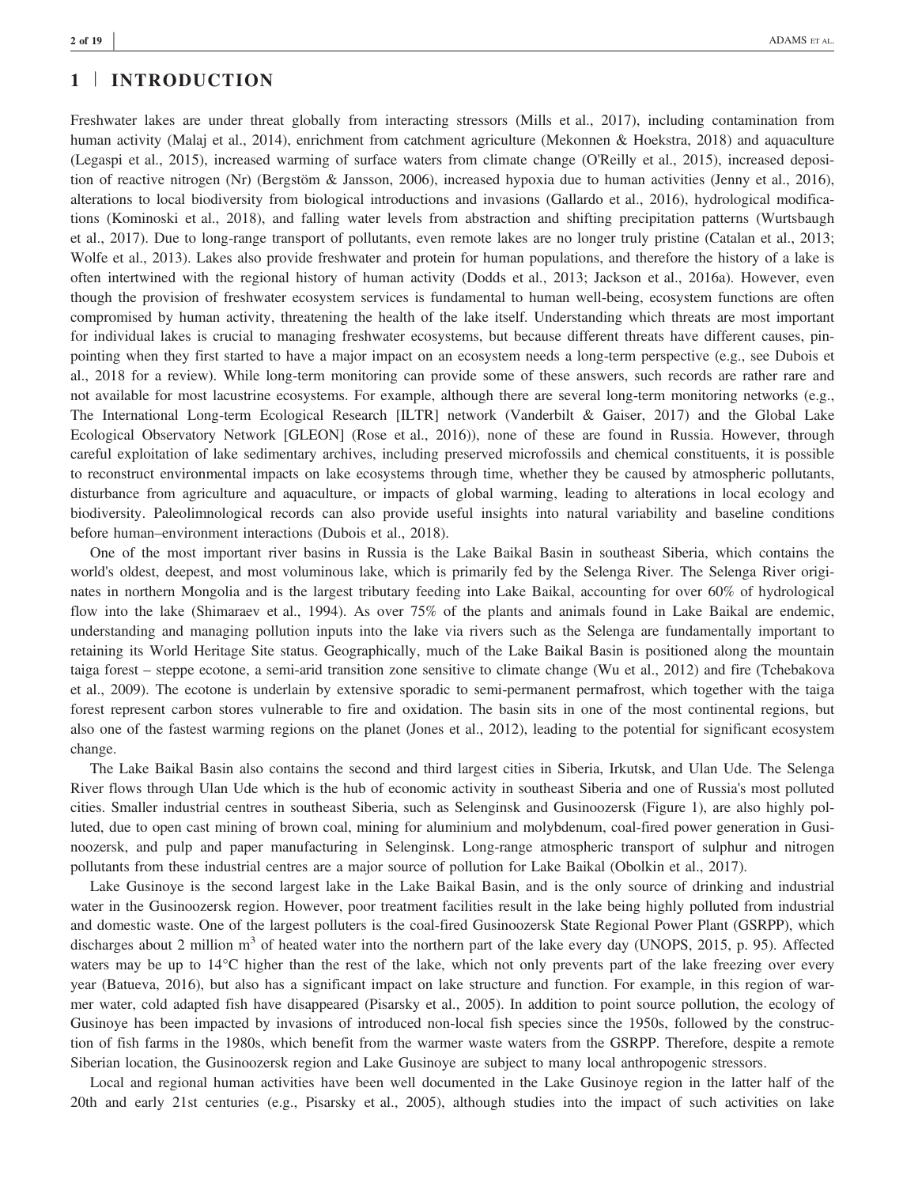## 1 | INTRODUCTION

Freshwater lakes are under threat globally from interacting stressors (Mills et al., 2017), including contamination from human activity (Malaj et al., 2014), enrichment from catchment agriculture (Mekonnen & Hoekstra, 2018) and aquaculture (Legaspi et al., 2015), increased warming of surface waters from climate change (O'Reilly et al., 2015), increased deposition of reactive nitrogen (Nr) (Bergstöm & Jansson, 2006), increased hypoxia due to human activities (Jenny et al., 2016), alterations to local biodiversity from biological introductions and invasions (Gallardo et al., 2016), hydrological modifications (Kominoski et al., 2018), and falling water levels from abstraction and shifting precipitation patterns (Wurtsbaugh et al., 2017). Due to long‐range transport of pollutants, even remote lakes are no longer truly pristine (Catalan et al., 2013; Wolfe et al., 2013). Lakes also provide freshwater and protein for human populations, and therefore the history of a lake is often intertwined with the regional history of human activity (Dodds et al., 2013; Jackson et al., 2016a). However, even though the provision of freshwater ecosystem services is fundamental to human well-being, ecosystem functions are often compromised by human activity, threatening the health of the lake itself. Understanding which threats are most important for individual lakes is crucial to managing freshwater ecosystems, but because different threats have different causes, pinpointing when they first started to have a major impact on an ecosystem needs a long-term perspective (e.g., see Dubois et al., 2018 for a review). While long‐term monitoring can provide some of these answers, such records are rather rare and not available for most lacustrine ecosystems. For example, although there are several long-term monitoring networks (e.g., The International Long‐term Ecological Research [ILTR] network (Vanderbilt & Gaiser, 2017) and the Global Lake Ecological Observatory Network [GLEON] (Rose et al., 2016)), none of these are found in Russia. However, through careful exploitation of lake sedimentary archives, including preserved microfossils and chemical constituents, it is possible to reconstruct environmental impacts on lake ecosystems through time, whether they be caused by atmospheric pollutants, disturbance from agriculture and aquaculture, or impacts of global warming, leading to alterations in local ecology and biodiversity. Paleolimnological records can also provide useful insights into natural variability and baseline conditions before human–environment interactions (Dubois et al., 2018).

One of the most important river basins in Russia is the Lake Baikal Basin in southeast Siberia, which contains the world's oldest, deepest, and most voluminous lake, which is primarily fed by the Selenga River. The Selenga River originates in northern Mongolia and is the largest tributary feeding into Lake Baikal, accounting for over 60% of hydrological flow into the lake (Shimaraev et al., 1994). As over 75% of the plants and animals found in Lake Baikal are endemic, understanding and managing pollution inputs into the lake via rivers such as the Selenga are fundamentally important to retaining its World Heritage Site status. Geographically, much of the Lake Baikal Basin is positioned along the mountain taiga forest – steppe ecotone, a semi‐arid transition zone sensitive to climate change (Wu et al., 2012) and fire (Tchebakova et al., 2009). The ecotone is underlain by extensive sporadic to semi‐permanent permafrost, which together with the taiga forest represent carbon stores vulnerable to fire and oxidation. The basin sits in one of the most continental regions, but also one of the fastest warming regions on the planet (Jones et al., 2012), leading to the potential for significant ecosystem change.

The Lake Baikal Basin also contains the second and third largest cities in Siberia, Irkutsk, and Ulan Ude. The Selenga River flows through Ulan Ude which is the hub of economic activity in southeast Siberia and one of Russia's most polluted cities. Smaller industrial centres in southeast Siberia, such as Selenginsk and Gusinoozersk (Figure 1), are also highly polluted, due to open cast mining of brown coal, mining for aluminium and molybdenum, coal‐fired power generation in Gusinoozersk, and pulp and paper manufacturing in Selenginsk. Long‐range atmospheric transport of sulphur and nitrogen pollutants from these industrial centres are a major source of pollution for Lake Baikal (Obolkin et al., 2017).

Lake Gusinoye is the second largest lake in the Lake Baikal Basin, and is the only source of drinking and industrial water in the Gusinoozersk region. However, poor treatment facilities result in the lake being highly polluted from industrial and domestic waste. One of the largest polluters is the coal‐fired Gusinoozersk State Regional Power Plant (GSRPP), which discharges about 2 million  $m<sup>3</sup>$  of heated water into the northern part of the lake every day (UNOPS, 2015, p. 95). Affected waters may be up to  $14^{\circ}$ C higher than the rest of the lake, which not only prevents part of the lake freezing over every year (Batueva, 2016), but also has a significant impact on lake structure and function. For example, in this region of warmer water, cold adapted fish have disappeared (Pisarsky et al., 2005). In addition to point source pollution, the ecology of Gusinoye has been impacted by invasions of introduced non-local fish species since the 1950s, followed by the construction of fish farms in the 1980s, which benefit from the warmer waste waters from the GSRPP. Therefore, despite a remote Siberian location, the Gusinoozersk region and Lake Gusinoye are subject to many local anthropogenic stressors.

Local and regional human activities have been well documented in the Lake Gusinoye region in the latter half of the 20th and early 21st centuries (e.g., Pisarsky et al., 2005), although studies into the impact of such activities on lake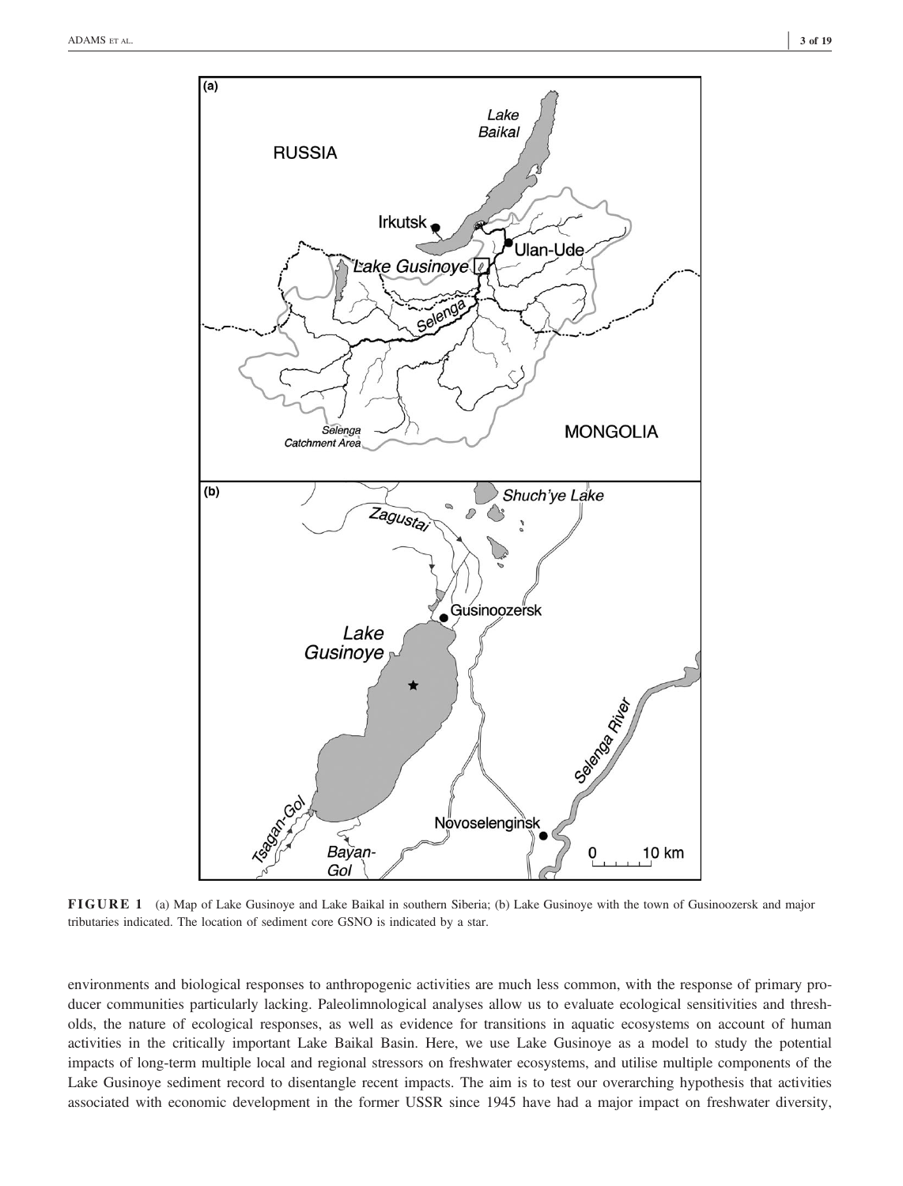

FIGURE 1 (a) Map of Lake Gusinoye and Lake Baikal in southern Siberia; (b) Lake Gusinoye with the town of Gusinoozersk and major tributaries indicated. The location of sediment core GSNO is indicated by a star.

environments and biological responses to anthropogenic activities are much less common, with the response of primary producer communities particularly lacking. Paleolimnological analyses allow us to evaluate ecological sensitivities and thresholds, the nature of ecological responses, as well as evidence for transitions in aquatic ecosystems on account of human activities in the critically important Lake Baikal Basin. Here, we use Lake Gusinoye as a model to study the potential impacts of long-term multiple local and regional stressors on freshwater ecosystems, and utilise multiple components of the Lake Gusinoye sediment record to disentangle recent impacts. The aim is to test our overarching hypothesis that activities associated with economic development in the former USSR since 1945 have had a major impact on freshwater diversity,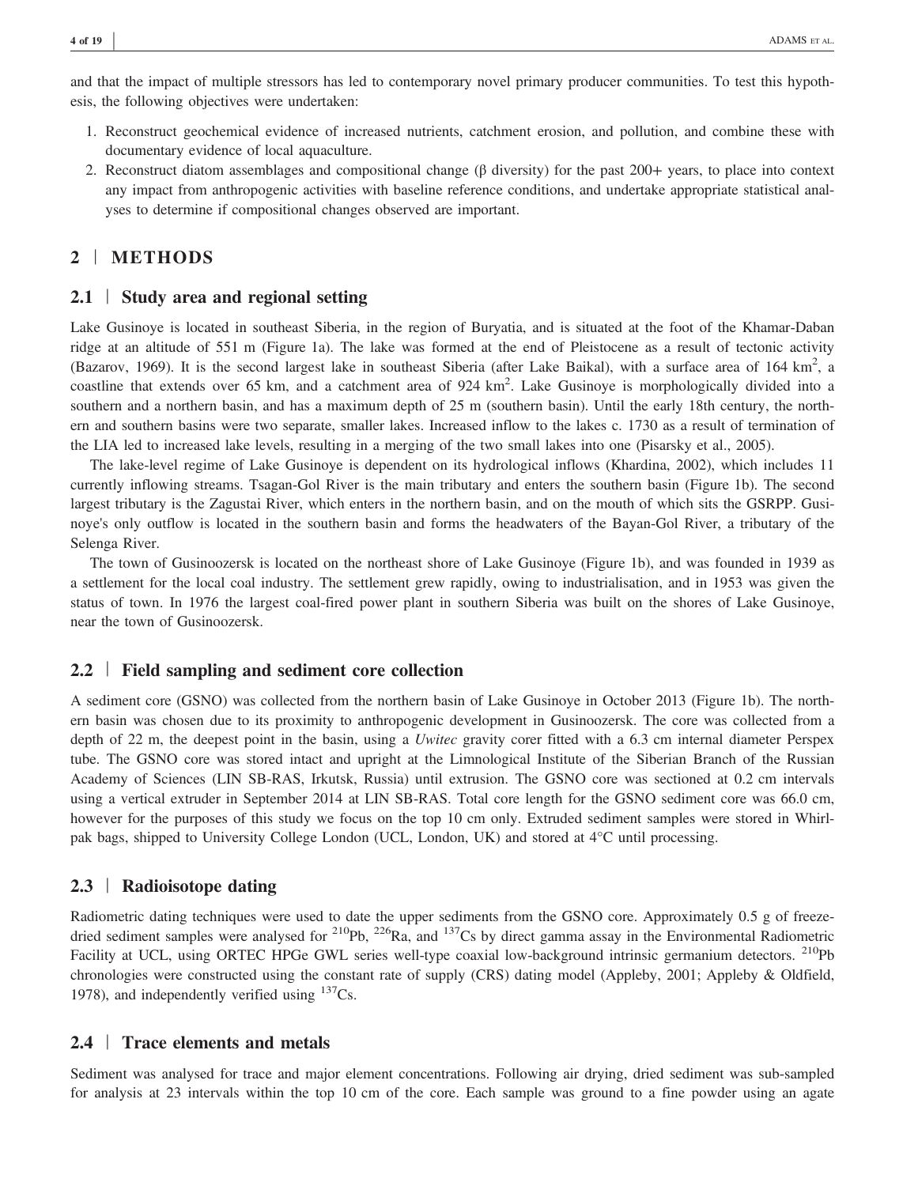and that the impact of multiple stressors has led to contemporary novel primary producer communities. To test this hypothesis, the following objectives were undertaken:

- 1. Reconstruct geochemical evidence of increased nutrients, catchment erosion, and pollution, and combine these with documentary evidence of local aquaculture.
- 2. Reconstruct diatom assemblages and compositional change (β diversity) for the past 200+ years, to place into context any impact from anthropogenic activities with baseline reference conditions, and undertake appropriate statistical analyses to determine if compositional changes observed are important.

# 2 | METHODS

## 2.1 | Study area and regional setting

Lake Gusinoye is located in southeast Siberia, in the region of Buryatia, and is situated at the foot of the Khamar-Daban ridge at an altitude of 551 m (Figure 1a). The lake was formed at the end of Pleistocene as a result of tectonic activity (Bazarov, 1969). It is the second largest lake in southeast Siberia (after Lake Baikal), with a surface area of 164  $\text{km}^2$ , a coastline that extends over 65 km, and a catchment area of  $924 \text{ km}^2$ . Lake Gusinoye is morphologically divided into a southern and a northern basin, and has a maximum depth of 25 m (southern basin). Until the early 18th century, the northern and southern basins were two separate, smaller lakes. Increased inflow to the lakes c. 1730 as a result of termination of the LIA led to increased lake levels, resulting in a merging of the two small lakes into one (Pisarsky et al., 2005).

The lake-level regime of Lake Gusinoye is dependent on its hydrological inflows (Khardina, 2002), which includes 11 currently inflowing streams. Tsagan‐Gol River is the main tributary and enters the southern basin (Figure 1b). The second largest tributary is the Zagustai River, which enters in the northern basin, and on the mouth of which sits the GSRPP. Gusinoye's only outflow is located in the southern basin and forms the headwaters of the Bayan‐Gol River, a tributary of the Selenga River.

The town of Gusinoozersk is located on the northeast shore of Lake Gusinoye (Figure 1b), and was founded in 1939 as a settlement for the local coal industry. The settlement grew rapidly, owing to industrialisation, and in 1953 was given the status of town. In 1976 the largest coal-fired power plant in southern Siberia was built on the shores of Lake Gusinoye, near the town of Gusinoozersk.

## 2.2 | Field sampling and sediment core collection

A sediment core (GSNO) was collected from the northern basin of Lake Gusinoye in October 2013 (Figure 1b). The northern basin was chosen due to its proximity to anthropogenic development in Gusinoozersk. The core was collected from a depth of 22 m, the deepest point in the basin, using a Uwitec gravity corer fitted with a 6.3 cm internal diameter Perspex tube. The GSNO core was stored intact and upright at the Limnological Institute of the Siberian Branch of the Russian Academy of Sciences (LIN SB‐RAS, Irkutsk, Russia) until extrusion. The GSNO core was sectioned at 0.2 cm intervals using a vertical extruder in September 2014 at LIN SB-RAS. Total core length for the GSNO sediment core was 66.0 cm, however for the purposes of this study we focus on the top 10 cm only. Extruded sediment samples were stored in Whirlpak bags, shipped to University College London (UCL, London, UK) and stored at 4°C until processing.

## 2.3 | Radioisotope dating

Radiometric dating techniques were used to date the upper sediments from the GSNO core. Approximately 0.5 g of freezedried sediment samples were analysed for <sup>210</sup>Pb, <sup>226</sup>Ra, and <sup>137</sup>Cs by direct gamma assay in the Environmental Radiometric Facility at UCL, using ORTEC HPGe GWL series well-type coaxial low-background intrinsic germanium detectors. <sup>210</sup>Pb chronologies were constructed using the constant rate of supply (CRS) dating model (Appleby, 2001; Appleby & Oldfield, 1978), and independently verified using  $137Cs$ .

## 2.4 | Trace elements and metals

Sediment was analysed for trace and major element concentrations. Following air drying, dried sediment was sub-sampled for analysis at 23 intervals within the top 10 cm of the core. Each sample was ground to a fine powder using an agate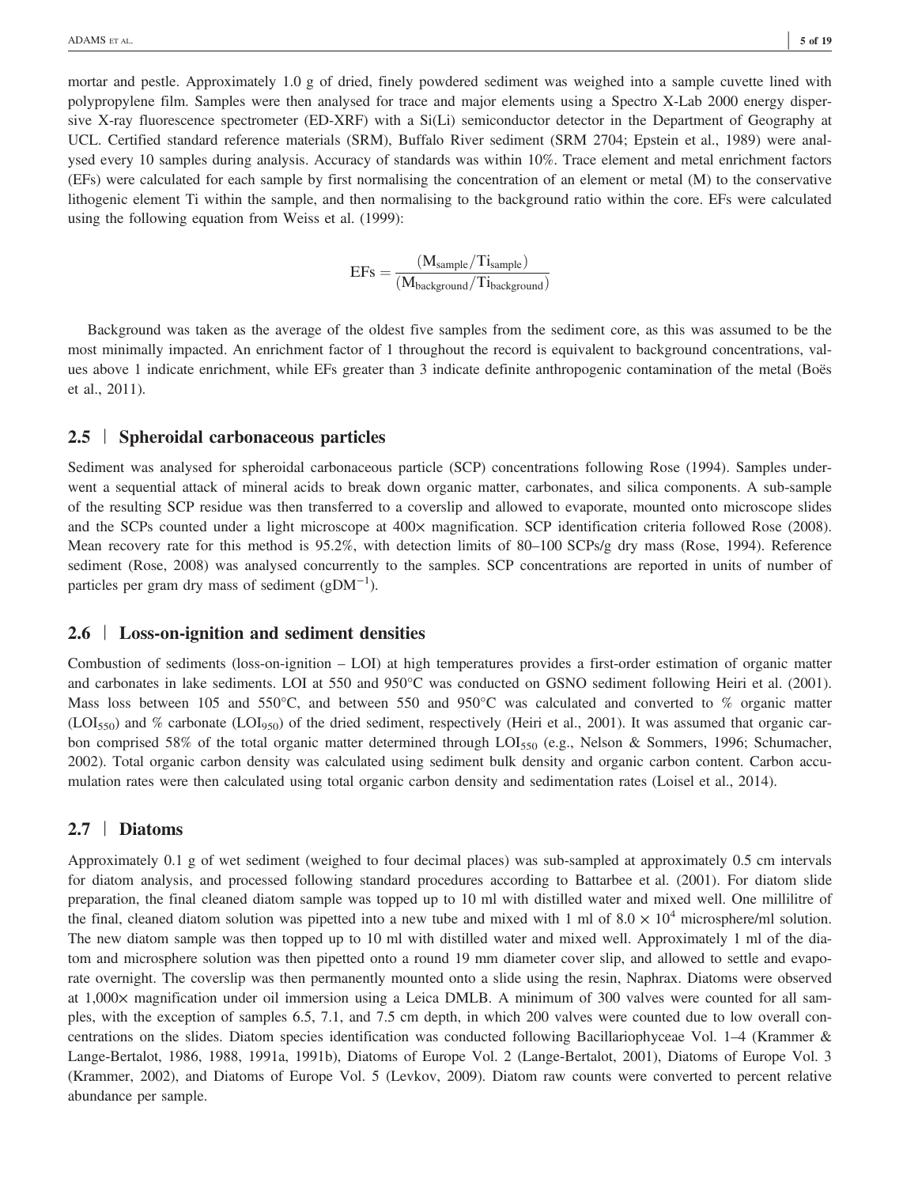mortar and pestle. Approximately 1.0 g of dried, finely powdered sediment was weighed into a sample cuvette lined with polypropylene film. Samples were then analysed for trace and major elements using a Spectro X‐Lab 2000 energy dispersive X-ray fluorescence spectrometer (ED-XRF) with a Si(Li) semiconductor detector in the Department of Geography at UCL. Certified standard reference materials (SRM), Buffalo River sediment (SRM 2704; Epstein et al., 1989) were analysed every 10 samples during analysis. Accuracy of standards was within 10%. Trace element and metal enrichment factors (EFs) were calculated for each sample by first normalising the concentration of an element or metal (M) to the conservative lithogenic element Ti within the sample, and then normalising to the background ratio within the core. EFs were calculated using the following equation from Weiss et al. (1999):

$$
EFs = \frac{(M_{sample}/Ti_{sample})}{(M_{background}/Ti_{background})}
$$

Background was taken as the average of the oldest five samples from the sediment core, as this was assumed to be the most minimally impacted. An enrichment factor of 1 throughout the record is equivalent to background concentrations, values above 1 indicate enrichment, while EFs greater than 3 indicate definite anthropogenic contamination of the metal (Boës et al., 2011).

## 2.5 | Spheroidal carbonaceous particles

Sediment was analysed for spheroidal carbonaceous particle (SCP) concentrations following Rose (1994). Samples underwent a sequential attack of mineral acids to break down organic matter, carbonates, and silica components. A sub-sample of the resulting SCP residue was then transferred to a coverslip and allowed to evaporate, mounted onto microscope slides and the SCPs counted under a light microscope at 400× magnification. SCP identification criteria followed Rose (2008). Mean recovery rate for this method is 95.2%, with detection limits of 80–100 SCPs/g dry mass (Rose, 1994). Reference sediment (Rose, 2008) was analysed concurrently to the samples. SCP concentrations are reported in units of number of particles per gram dry mass of sediment  $(gDM^{-1})$ .

## 2.6 | Loss-on-ignition and sediment densities

Combustion of sediments (loss-on-ignition  $-$  LOI) at high temperatures provides a first-order estimation of organic matter and carbonates in lake sediments. LOI at 550 and 950°C was conducted on GSNO sediment following Heiri et al. (2001). Mass loss between 105 and 550°C, and between 550 and 950°C was calculated and converted to % organic matter (LOI<sub>550</sub>) and % carbonate (LOI<sub>950</sub>) of the dried sediment, respectively (Heiri et al., 2001). It was assumed that organic carbon comprised 58% of the total organic matter determined through LOI<sub>550</sub> (e.g., Nelson & Sommers, 1996; Schumacher, 2002). Total organic carbon density was calculated using sediment bulk density and organic carbon content. Carbon accumulation rates were then calculated using total organic carbon density and sedimentation rates (Loisel et al., 2014).

## 2.7 | Diatoms

Approximately 0.1 g of wet sediment (weighed to four decimal places) was sub‐sampled at approximately 0.5 cm intervals for diatom analysis, and processed following standard procedures according to Battarbee et al. (2001). For diatom slide preparation, the final cleaned diatom sample was topped up to 10 ml with distilled water and mixed well. One millilitre of the final, cleaned diatom solution was pipetted into a new tube and mixed with 1 ml of  $8.0 \times 10^4$  microsphere/ml solution. The new diatom sample was then topped up to 10 ml with distilled water and mixed well. Approximately 1 ml of the diatom and microsphere solution was then pipetted onto a round 19 mm diameter cover slip, and allowed to settle and evaporate overnight. The coverslip was then permanently mounted onto a slide using the resin, Naphrax. Diatoms were observed at 1,000× magnification under oil immersion using a Leica DMLB. A minimum of 300 valves were counted for all samples, with the exception of samples 6.5, 7.1, and 7.5 cm depth, in which 200 valves were counted due to low overall concentrations on the slides. Diatom species identification was conducted following Bacillariophyceae Vol. 1–4 (Krammer & Lange‐Bertalot, 1986, 1988, 1991a, 1991b), Diatoms of Europe Vol. 2 (Lange‐Bertalot, 2001), Diatoms of Europe Vol. 3 (Krammer, 2002), and Diatoms of Europe Vol. 5 (Levkov, 2009). Diatom raw counts were converted to percent relative abundance per sample.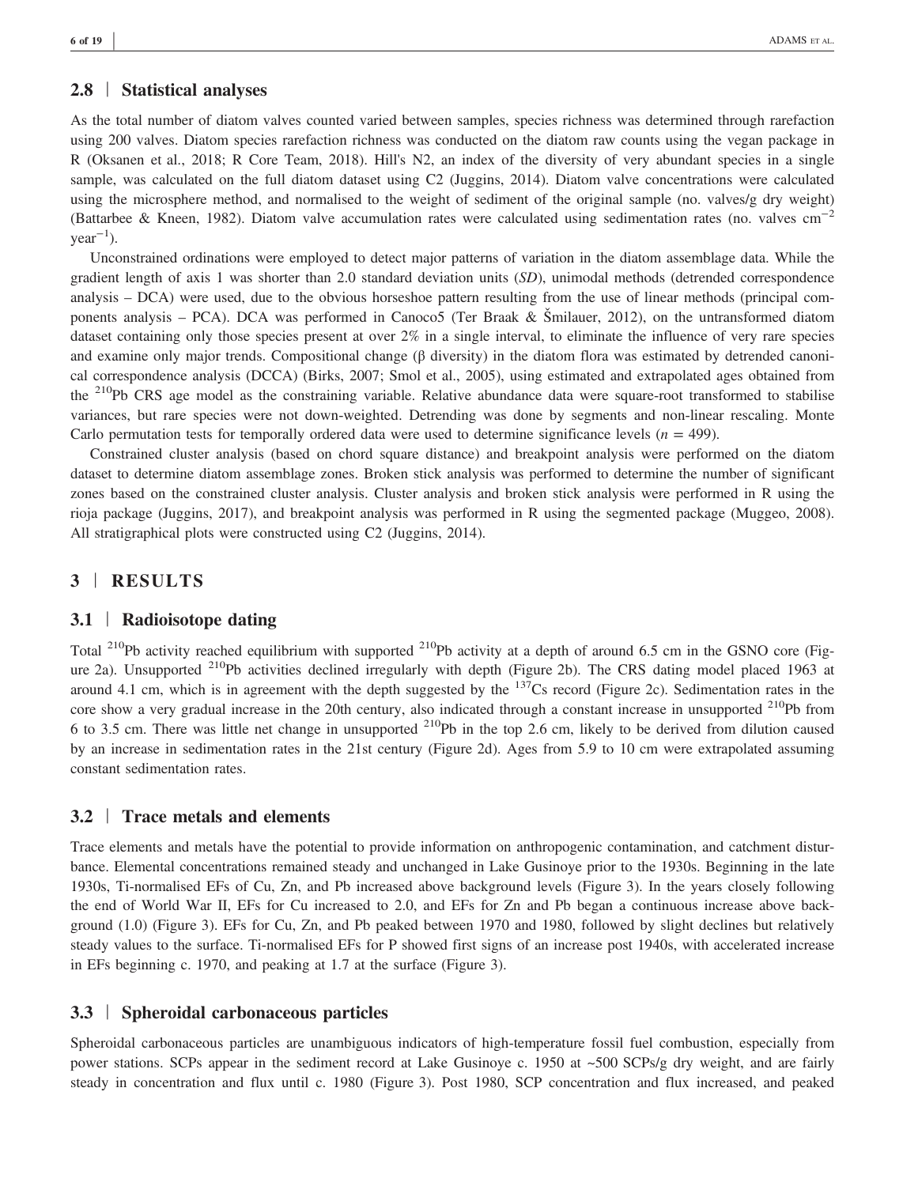# 2.8 | Statistical analyses

As the total number of diatom valves counted varied between samples, species richness was determined through rarefaction using 200 valves. Diatom species rarefaction richness was conducted on the diatom raw counts using the vegan package in R (Oksanen et al., 2018; R Core Team, 2018). Hill's N2, an index of the diversity of very abundant species in a single sample, was calculated on the full diatom dataset using C2 (Juggins, 2014). Diatom valve concentrations were calculated using the microsphere method, and normalised to the weight of sediment of the original sample (no. valves/g dry weight) (Battarbee & Kneen, 1982). Diatom valve accumulation rates were calculated using sedimentation rates (no. valves cm−<sup>2</sup>  $year^{-1}$ ).

Unconstrained ordinations were employed to detect major patterns of variation in the diatom assemblage data. While the gradient length of axis 1 was shorter than 2.0 standard deviation units (SD), unimodal methods (detrended correspondence analysis – DCA) were used, due to the obvious horseshoe pattern resulting from the use of linear methods (principal components analysis – PCA). DCA was performed in Canoco5 (Ter Braak & Šmilauer, 2012), on the untransformed diatom dataset containing only those species present at over 2% in a single interval, to eliminate the influence of very rare species and examine only major trends. Compositional change (β diversity) in the diatom flora was estimated by detrended canonical correspondence analysis (DCCA) (Birks, 2007; Smol et al., 2005), using estimated and extrapolated ages obtained from the  $^{210}Pb$  CRS age model as the constraining variable. Relative abundance data were square-root transformed to stabilise variances, but rare species were not down‐weighted. Detrending was done by segments and non‐linear rescaling. Monte Carlo permutation tests for temporally ordered data were used to determine significance levels ( $n = 499$ ).

Constrained cluster analysis (based on chord square distance) and breakpoint analysis were performed on the diatom dataset to determine diatom assemblage zones. Broken stick analysis was performed to determine the number of significant zones based on the constrained cluster analysis. Cluster analysis and broken stick analysis were performed in R using the rioja package (Juggins, 2017), and breakpoint analysis was performed in R using the segmented package (Muggeo, 2008). All stratigraphical plots were constructed using C2 (Juggins, 2014).

## 3 | RESULTS

# 3.1 | Radioisotope dating

Total <sup>210</sup>Pb activity reached equilibrium with supported <sup>210</sup>Pb activity at a depth of around 6.5 cm in the GSNO core (Figure 2a). Unsupported <sup>210</sup>Pb activities declined irregularly with depth (Figure 2b). The CRS dating model placed 1963 at around 4.1 cm, which is in agreement with the depth suggested by the  $137$ Cs record (Figure 2c). Sedimentation rates in the core show a very gradual increase in the 20th century, also indicated through a constant increase in unsupported  $^{210}Pb$  from 6 to 3.5 cm. There was little net change in unsupported 210Pb in the top 2.6 cm, likely to be derived from dilution caused by an increase in sedimentation rates in the 21st century (Figure 2d). Ages from 5.9 to 10 cm were extrapolated assuming constant sedimentation rates.

## 3.2 | Trace metals and elements

Trace elements and metals have the potential to provide information on anthropogenic contamination, and catchment disturbance. Elemental concentrations remained steady and unchanged in Lake Gusinoye prior to the 1930s. Beginning in the late 1930s, Ti-normalised EFs of Cu, Zn, and Pb increased above background levels (Figure 3). In the years closely following the end of World War II, EFs for Cu increased to 2.0, and EFs for Zn and Pb began a continuous increase above background (1.0) (Figure 3). EFs for Cu, Zn, and Pb peaked between 1970 and 1980, followed by slight declines but relatively steady values to the surface. Ti-normalised EFs for P showed first signs of an increase post 1940s, with accelerated increase in EFs beginning c. 1970, and peaking at 1.7 at the surface (Figure 3).

## 3.3 | Spheroidal carbonaceous particles

Spheroidal carbonaceous particles are unambiguous indicators of high-temperature fossil fuel combustion, especially from power stations. SCPs appear in the sediment record at Lake Gusinoye c. 1950 at ~500 SCPs/g dry weight, and are fairly steady in concentration and flux until c. 1980 (Figure 3). Post 1980, SCP concentration and flux increased, and peaked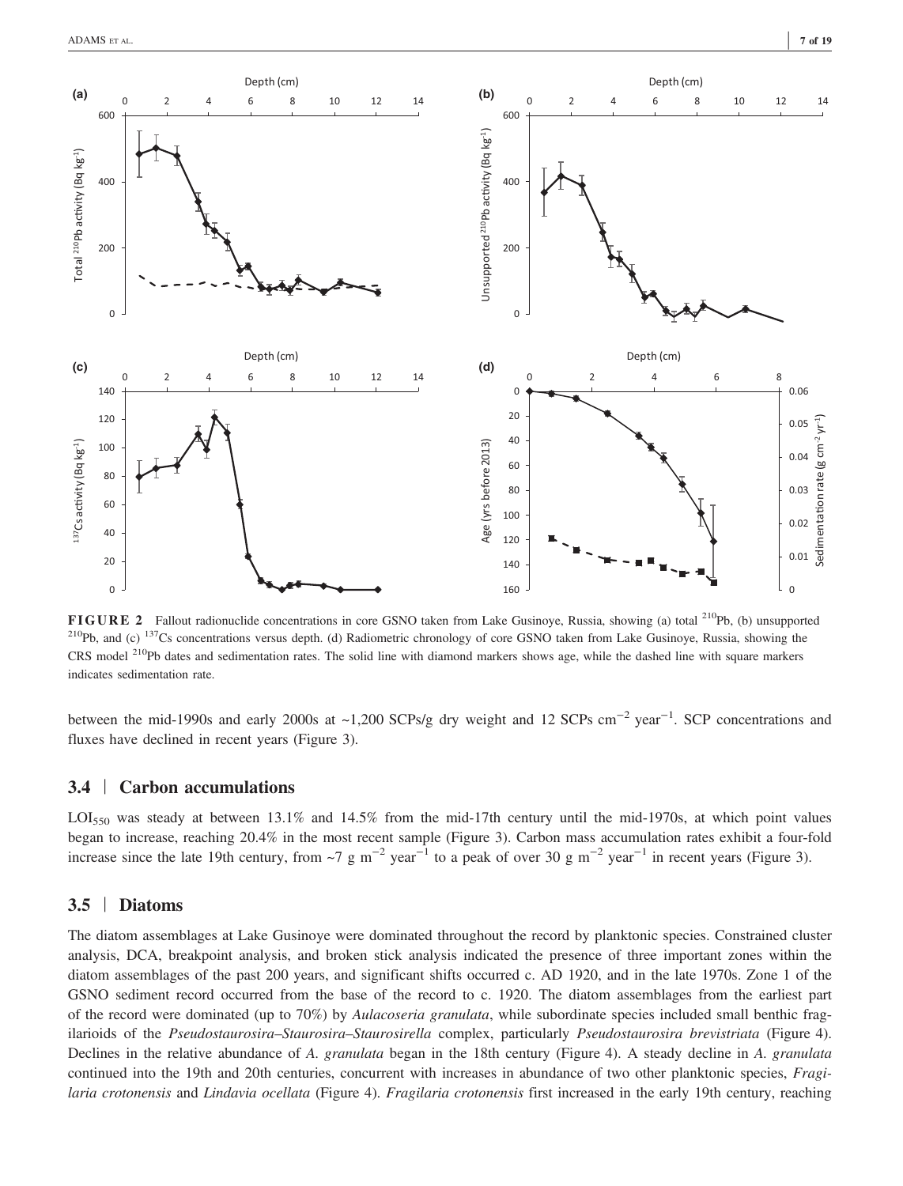

FIGURE 2 Fallout radionuclide concentrations in core GSNO taken from Lake Gusinoye, Russia, showing (a) total <sup>210</sup>Pb, (b) unsupported  $^{210}Pb$ , and (c)  $^{137}Cs$  concentrations versus depth. (d) Radiometric chronology of core GSNO taken from Lake Gusinoye, Russia, showing the CRS model <sup>210</sup>Pb dates and sedimentation rates. The solid line with diamond markers shows age, while the dashed line with square markers indicates sedimentation rate.

between the mid-1990s and early 2000s at ~1,200 SCPs/g dry weight and 12 SCPs cm<sup>-2</sup> year<sup>-1</sup>. SCP concentrations and fluxes have declined in recent years (Figure 3).

## 3.4 | Carbon accumulations

LOI<sub>550</sub> was steady at between 13.1% and 14.5% from the mid-17th century until the mid-1970s, at which point values began to increase, reaching 20.4% in the most recent sample (Figure 3). Carbon mass accumulation rates exhibit a four-fold increase since the late 19th century, from ~7 g m<sup>-2</sup> year<sup>-1</sup> to a peak of over 30 g m<sup>-2</sup> year<sup>-1</sup> in recent years (Figure 3).

## 3.5 | Diatoms

The diatom assemblages at Lake Gusinoye were dominated throughout the record by planktonic species. Constrained cluster analysis, DCA, breakpoint analysis, and broken stick analysis indicated the presence of three important zones within the diatom assemblages of the past 200 years, and significant shifts occurred c. AD 1920, and in the late 1970s. Zone 1 of the GSNO sediment record occurred from the base of the record to c. 1920. The diatom assemblages from the earliest part of the record were dominated (up to 70%) by Aulacoseria granulata, while subordinate species included small benthic fragilarioids of the Pseudostaurosira–Staurosira–Staurosirella complex, particularly Pseudostaurosira brevistriata (Figure 4). Declines in the relative abundance of A. *granulata* began in the 18th century (Figure 4). A steady decline in A. *granulata* continued into the 19th and 20th centuries, concurrent with increases in abundance of two other planktonic species, Fragilaria crotonensis and Lindavia ocellata (Figure 4). Fragilaria crotonensis first increased in the early 19th century, reaching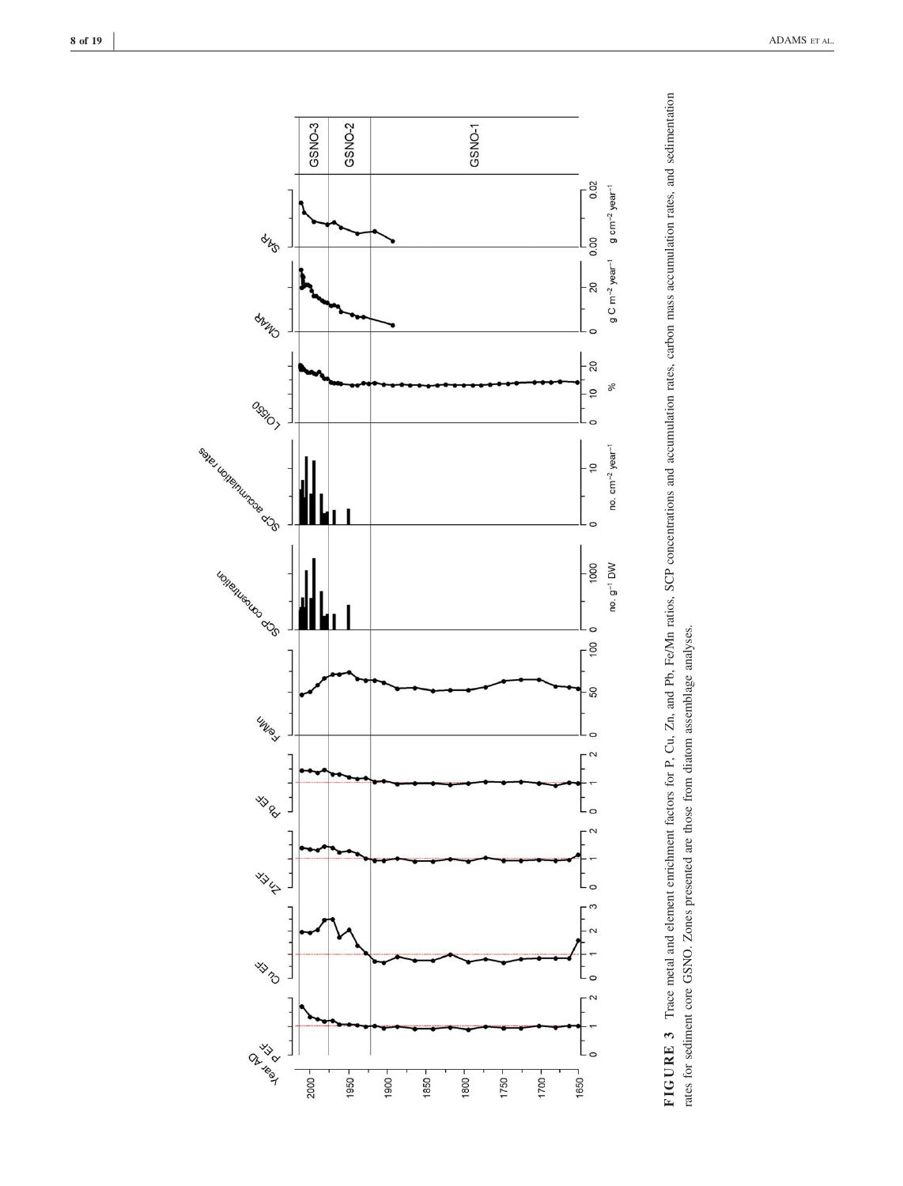

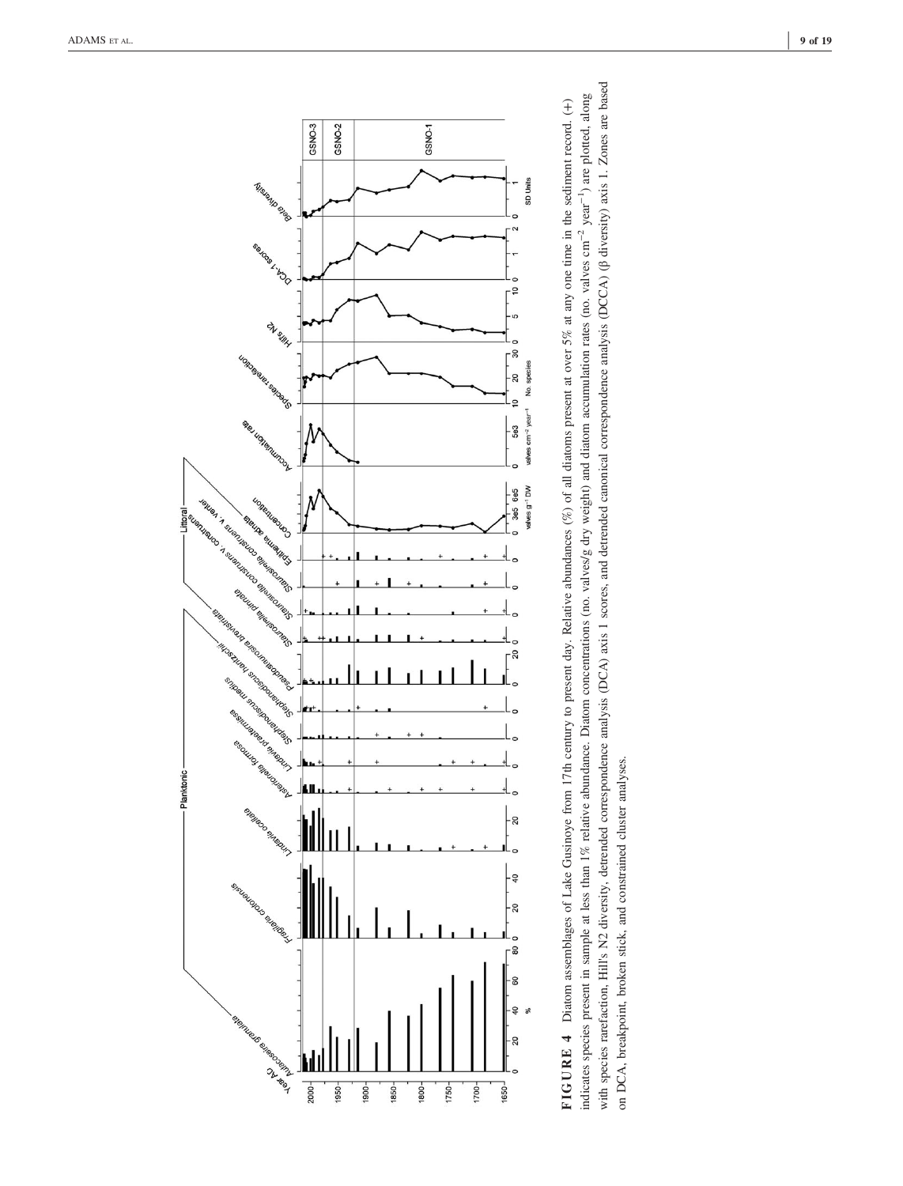



with species rarefaction, Hill's N2 diversity, detrended correspondence analysis (DCA) axis 1 scores, and detrended canonical correspondence analysis (DCCA) ( $\beta$  diversity) axis 1. Zones are based with species rarefaction, Hill's N2 diversity, detrended correspondence analysis (DCA) axis 1 scores, and detrended canonical correspondence analysis (DCCA) (β diversity) axis 1. Zones are based indicates species present in sample at less than 1% relative abundance. Diatom concentrations (no. valves/g dry weight) and diatom accumulation rates (no. valves cm<sup>-2</sup> year<sup>-1</sup>) are plotted, along FIGURE 4 Diatom assemblages of Lake Gusinoye from 17th century to present day. Relative abundances (%) of all diatoms present at over 5% at any one time in the sediment record. (+) indicates species present in sample at less than 1% relative abundance. Diatom concentrations (no. valves/g dry weight) and diatom accumulation rates (no. valves cm−2 year−1) are plotted, along FIGURE 4 Diatom assemblages of Lake Gusinoye from 17th century to present day. Relative abundances (%) of all diatoms present at over 5% at any one time in the sediment record. (+) on DCA, breakpoint, broken stick, and constrained cluster analyses. on DCA, breakpoint, broken stick, and constrained cluster analyses.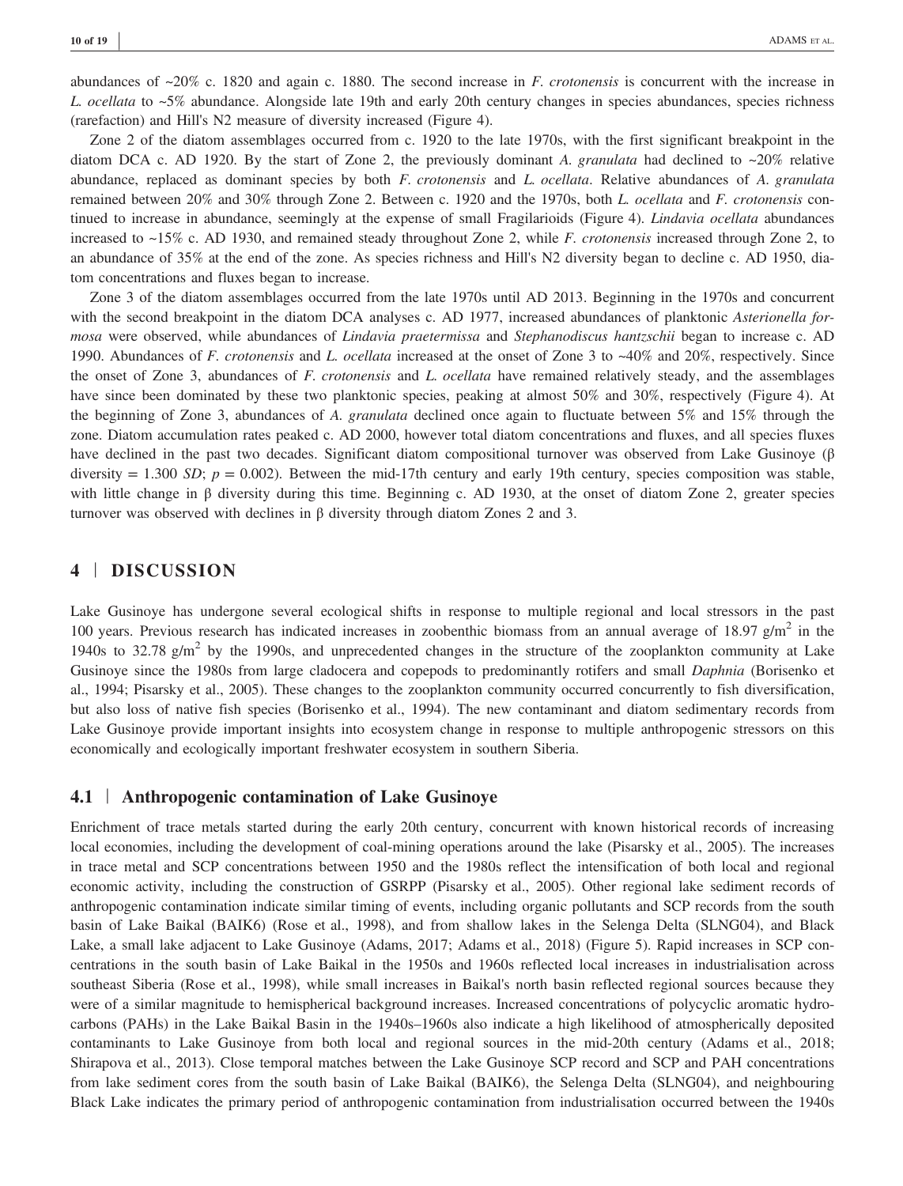abundances of  $\approx 20\%$  c. 1820 and again c. 1880. The second increase in F. crotonensis is concurrent with the increase in L. ocellata to ~5% abundance. Alongside late 19th and early 20th century changes in species abundances, species richness (rarefaction) and Hill's N2 measure of diversity increased (Figure 4).

Zone 2 of the diatom assemblages occurred from c. 1920 to the late 1970s, with the first significant breakpoint in the diatom DCA c. AD 1920. By the start of Zone 2, the previously dominant A. granulata had declined to  $\sim$ 20% relative abundance, replaced as dominant species by both  $F$ . *crotonensis* and  $L$ . *ocellata*. Relative abundances of  $A$ . *granulata* remained between 20% and 30% through Zone 2. Between c. 1920 and the 1970s, both L. ocellata and F. crotonensis continued to increase in abundance, seemingly at the expense of small Fragilarioids (Figure 4). Lindavia ocellata abundances increased to ~15% c. AD 1930, and remained steady throughout Zone 2, while F. crotonensis increased through Zone 2, to an abundance of 35% at the end of the zone. As species richness and Hill's N2 diversity began to decline c. AD 1950, diatom concentrations and fluxes began to increase.

Zone 3 of the diatom assemblages occurred from the late 1970s until AD 2013. Beginning in the 1970s and concurrent with the second breakpoint in the diatom DCA analyses c. AD 1977, increased abundances of planktonic Asterionella formosa were observed, while abundances of Lindavia praetermissa and Stephanodiscus hantzschii began to increase c. AD 1990. Abundances of F. crotonensis and L. ocellata increased at the onset of Zone 3 to ~40% and 20%, respectively. Since the onset of Zone 3, abundances of  $F$ . *crotonensis* and  $L$ , *ocellata* have remained relatively steady, and the assemblages have since been dominated by these two planktonic species, peaking at almost 50% and 30%, respectively (Figure 4). At the beginning of Zone 3, abundances of A. granulata declined once again to fluctuate between 5% and 15% through the zone. Diatom accumulation rates peaked c. AD 2000, however total diatom concentrations and fluxes, and all species fluxes have declined in the past two decades. Significant diatom compositional turnover was observed from Lake Gusinoye (β diversity = 1.300 SD;  $p = 0.002$ ). Between the mid-17th century and early 19th century, species composition was stable, with little change in β diversity during this time. Beginning c. AD 1930, at the onset of diatom Zone 2, greater species turnover was observed with declines in β diversity through diatom Zones 2 and 3.

## 4 | DISCUSSION

Lake Gusinoye has undergone several ecological shifts in response to multiple regional and local stressors in the past 100 years. Previous research has indicated increases in zoobenthic biomass from an annual average of 18.97 g/m<sup>2</sup> in the 1940s to 32.78  $g/m^2$  by the 1990s, and unprecedented changes in the structure of the zooplankton community at Lake Gusinoye since the 1980s from large cladocera and copepods to predominantly rotifers and small Daphnia (Borisenko et al., 1994; Pisarsky et al., 2005). These changes to the zooplankton community occurred concurrently to fish diversification, but also loss of native fish species (Borisenko et al., 1994). The new contaminant and diatom sedimentary records from Lake Gusinoye provide important insights into ecosystem change in response to multiple anthropogenic stressors on this economically and ecologically important freshwater ecosystem in southern Siberia.

## 4.1 | Anthropogenic contamination of Lake Gusinoye

Enrichment of trace metals started during the early 20th century, concurrent with known historical records of increasing local economies, including the development of coal-mining operations around the lake (Pisarsky et al., 2005). The increases in trace metal and SCP concentrations between 1950 and the 1980s reflect the intensification of both local and regional economic activity, including the construction of GSRPP (Pisarsky et al., 2005). Other regional lake sediment records of anthropogenic contamination indicate similar timing of events, including organic pollutants and SCP records from the south basin of Lake Baikal (BAIK6) (Rose et al., 1998), and from shallow lakes in the Selenga Delta (SLNG04), and Black Lake, a small lake adjacent to Lake Gusinoye (Adams, 2017; Adams et al., 2018) (Figure 5). Rapid increases in SCP concentrations in the south basin of Lake Baikal in the 1950s and 1960s reflected local increases in industrialisation across southeast Siberia (Rose et al., 1998), while small increases in Baikal's north basin reflected regional sources because they were of a similar magnitude to hemispherical background increases. Increased concentrations of polycyclic aromatic hydrocarbons (PAHs) in the Lake Baikal Basin in the 1940s–1960s also indicate a high likelihood of atmospherically deposited contaminants to Lake Gusinoye from both local and regional sources in the mid‐20th century (Adams et al., 2018; Shirapova et al., 2013). Close temporal matches between the Lake Gusinoye SCP record and SCP and PAH concentrations from lake sediment cores from the south basin of Lake Baikal (BAIK6), the Selenga Delta (SLNG04), and neighbouring Black Lake indicates the primary period of anthropogenic contamination from industrialisation occurred between the 1940s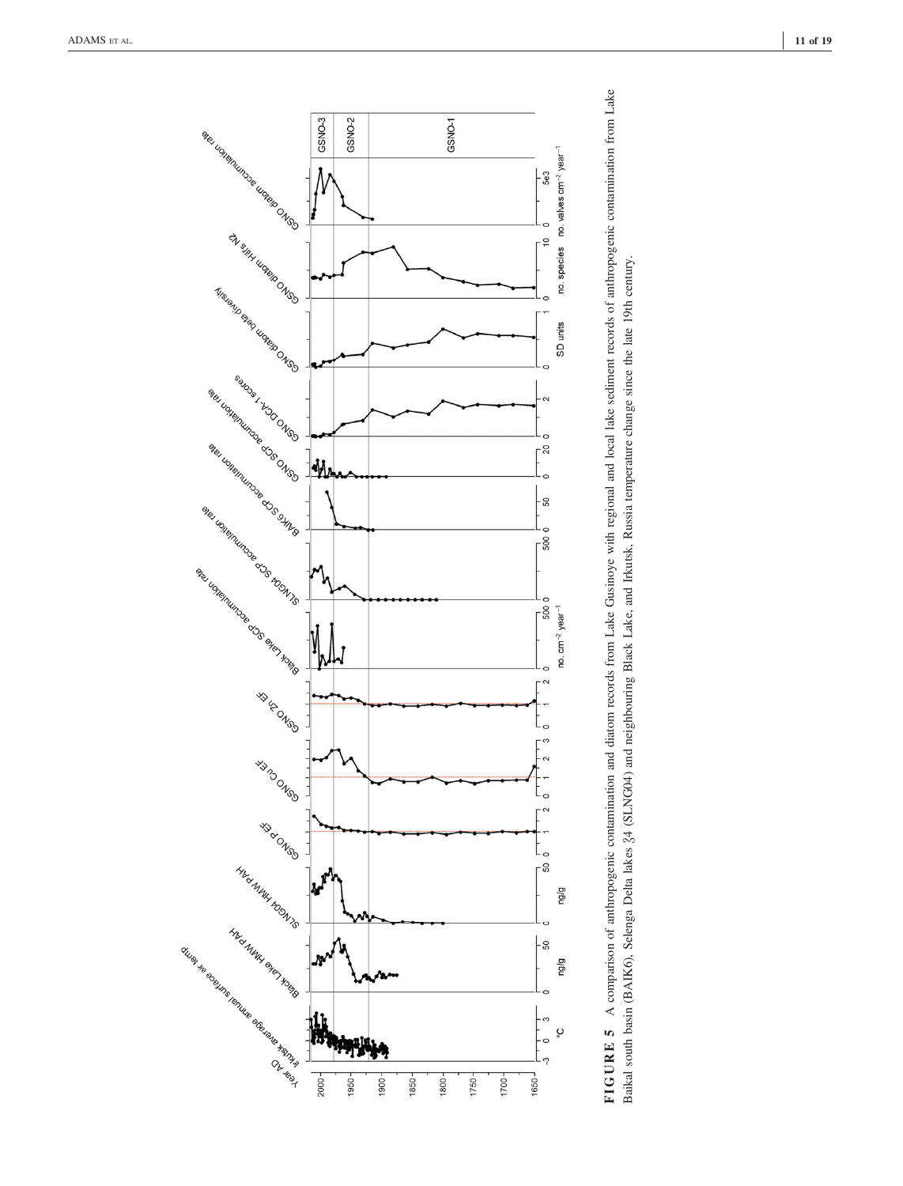

FIGURE 5 A comparison of anthropogenic contamination and diatom records from Lake Gusinoye with regional and local lake sediment records of anthropogenic contamination from Lake FIGURE 5 A comparison of anthropogenic contamination and diatom records from Lake Gusinoye with regional and local lake sediment records of anthropogenic contamination from Lake Baikal south basin (BAIK6), Selenga Delta lakes 34 (SLNG04) and neighbouring Black Lake, and Irkutsk, Russia temperature change since the late 19th century. Baikal south basin (BAIK6), Selenga Delta lakes #4 (SLNG04) and neighbouring Black Lake, and Irkutsk, Russia temperature change since the late 19th century.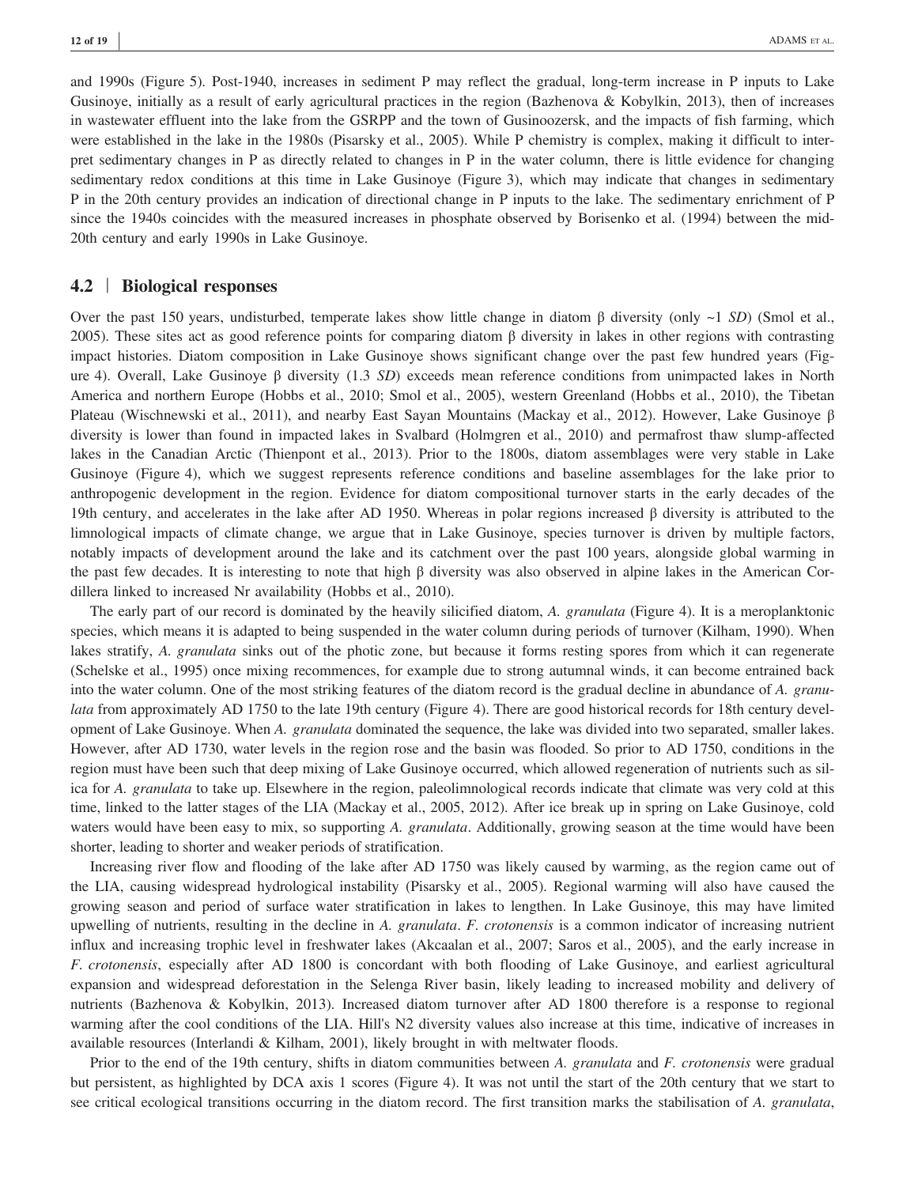and 1990s (Figure 5). Post-1940, increases in sediment P may reflect the gradual, long-term increase in P inputs to Lake Gusinoye, initially as a result of early agricultural practices in the region (Bazhenova & Kobylkin, 2013), then of increases in wastewater effluent into the lake from the GSRPP and the town of Gusinoozersk, and the impacts of fish farming, which were established in the lake in the 1980s (Pisarsky et al., 2005). While P chemistry is complex, making it difficult to interpret sedimentary changes in P as directly related to changes in P in the water column, there is little evidence for changing sedimentary redox conditions at this time in Lake Gusinoye (Figure 3), which may indicate that changes in sedimentary P in the 20th century provides an indication of directional change in P inputs to the lake. The sedimentary enrichment of P since the 1940s coincides with the measured increases in phosphate observed by Borisenko et al. (1994) between the mid-20th century and early 1990s in Lake Gusinoye.

#### 4.2 | Biological responses

Over the past 150 years, undisturbed, temperate lakes show little change in diatom β diversity (only ~1 SD) (Smol et al., 2005). These sites act as good reference points for comparing diatom β diversity in lakes in other regions with contrasting impact histories. Diatom composition in Lake Gusinoye shows significant change over the past few hundred years (Figure 4). Overall, Lake Gusinoye β diversity (1.3 SD) exceeds mean reference conditions from unimpacted lakes in North America and northern Europe (Hobbs et al., 2010; Smol et al., 2005), western Greenland (Hobbs et al., 2010), the Tibetan Plateau (Wischnewski et al., 2011), and nearby East Sayan Mountains (Mackay et al., 2012). However, Lake Gusinoye β diversity is lower than found in impacted lakes in Svalbard (Holmgren et al., 2010) and permafrost thaw slump‐affected lakes in the Canadian Arctic (Thienpont et al., 2013). Prior to the 1800s, diatom assemblages were very stable in Lake Gusinoye (Figure 4), which we suggest represents reference conditions and baseline assemblages for the lake prior to anthropogenic development in the region. Evidence for diatom compositional turnover starts in the early decades of the 19th century, and accelerates in the lake after AD 1950. Whereas in polar regions increased β diversity is attributed to the limnological impacts of climate change, we argue that in Lake Gusinoye, species turnover is driven by multiple factors, notably impacts of development around the lake and its catchment over the past 100 years, alongside global warming in the past few decades. It is interesting to note that high β diversity was also observed in alpine lakes in the American Cordillera linked to increased Nr availability (Hobbs et al., 2010).

The early part of our record is dominated by the heavily silicified diatom, A. granulata (Figure 4). It is a meroplanktonic species, which means it is adapted to being suspended in the water column during periods of turnover (Kilham, 1990). When lakes stratify, A. granulata sinks out of the photic zone, but because it forms resting spores from which it can regenerate (Schelske et al., 1995) once mixing recommences, for example due to strong autumnal winds, it can become entrained back into the water column. One of the most striking features of the diatom record is the gradual decline in abundance of A. granulata from approximately AD 1750 to the late 19th century (Figure 4). There are good historical records for 18th century development of Lake Gusinoye. When A. *granulata* dominated the sequence, the lake was divided into two separated, smaller lakes. However, after AD 1730, water levels in the region rose and the basin was flooded. So prior to AD 1750, conditions in the region must have been such that deep mixing of Lake Gusinoye occurred, which allowed regeneration of nutrients such as silica for A. granulata to take up. Elsewhere in the region, paleolimnological records indicate that climate was very cold at this time, linked to the latter stages of the LIA (Mackay et al., 2005, 2012). After ice break up in spring on Lake Gusinoye, cold waters would have been easy to mix, so supporting A. *granulata*. Additionally, growing season at the time would have been shorter, leading to shorter and weaker periods of stratification.

Increasing river flow and flooding of the lake after AD 1750 was likely caused by warming, as the region came out of the LIA, causing widespread hydrological instability (Pisarsky et al., 2005). Regional warming will also have caused the growing season and period of surface water stratification in lakes to lengthen. In Lake Gusinoye, this may have limited upwelling of nutrients, resulting in the decline in A. *granulata. F. crotonensis* is a common indicator of increasing nutrient influx and increasing trophic level in freshwater lakes (Akcaalan et al., 2007; Saros et al., 2005), and the early increase in F. crotonensis, especially after AD 1800 is concordant with both flooding of Lake Gusinoye, and earliest agricultural expansion and widespread deforestation in the Selenga River basin, likely leading to increased mobility and delivery of nutrients (Bazhenova & Kobylkin, 2013). Increased diatom turnover after AD 1800 therefore is a response to regional warming after the cool conditions of the LIA. Hill's N2 diversity values also increase at this time, indicative of increases in available resources (Interlandi & Kilham, 2001), likely brought in with meltwater floods.

Prior to the end of the 19th century, shifts in diatom communities between A. granulata and F. crotonensis were gradual but persistent, as highlighted by DCA axis 1 scores (Figure 4). It was not until the start of the 20th century that we start to see critical ecological transitions occurring in the diatom record. The first transition marks the stabilisation of A. granulata,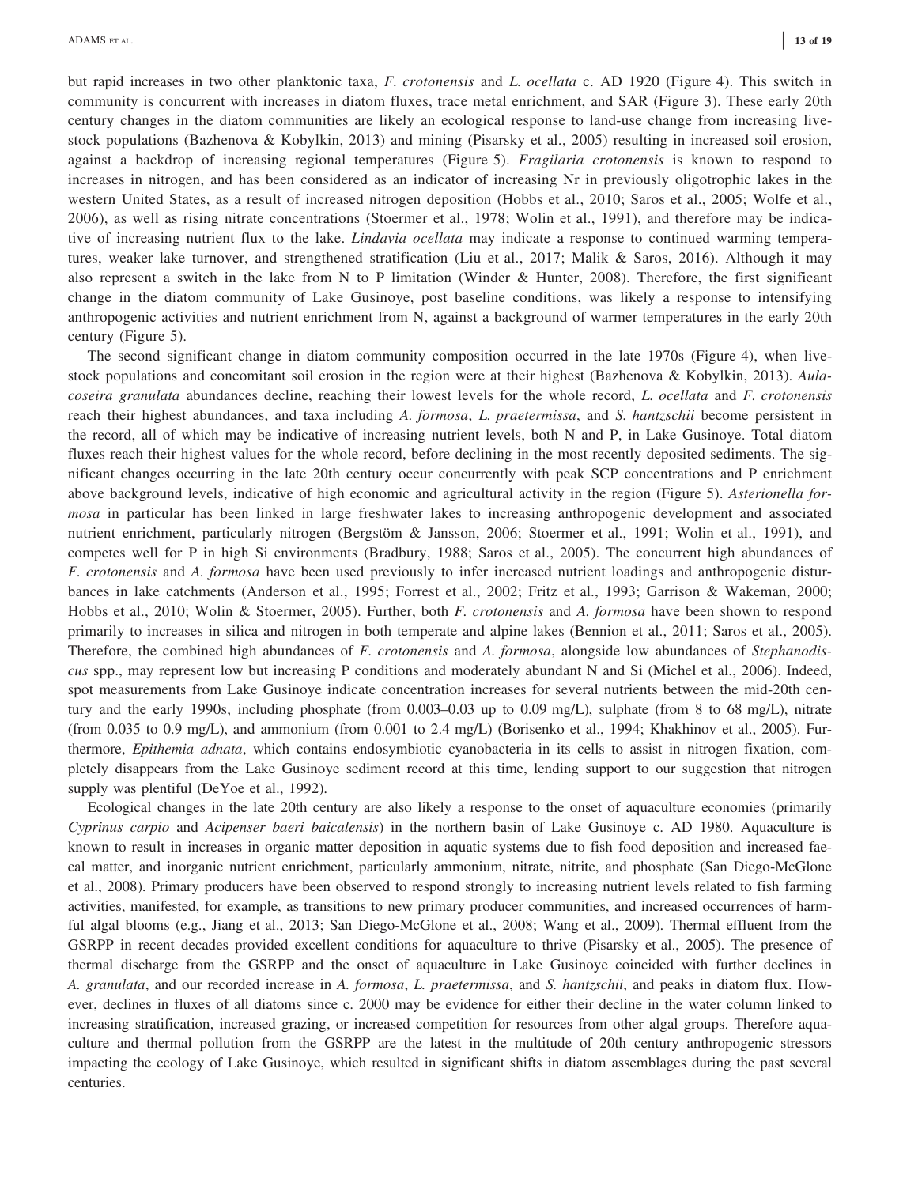but rapid increases in two other planktonic taxa, F. crotonensis and L. ocellata c. AD 1920 (Figure 4). This switch in community is concurrent with increases in diatom fluxes, trace metal enrichment, and SAR (Figure 3). These early 20th century changes in the diatom communities are likely an ecological response to land-use change from increasing livestock populations (Bazhenova & Kobylkin, 2013) and mining (Pisarsky et al., 2005) resulting in increased soil erosion, against a backdrop of increasing regional temperatures (Figure 5). Fragilaria crotonensis is known to respond to increases in nitrogen, and has been considered as an indicator of increasing Nr in previously oligotrophic lakes in the western United States, as a result of increased nitrogen deposition (Hobbs et al., 2010; Saros et al., 2005; Wolfe et al., 2006), as well as rising nitrate concentrations (Stoermer et al., 1978; Wolin et al., 1991), and therefore may be indicative of increasing nutrient flux to the lake. *Lindavia ocellata* may indicate a response to continued warming temperatures, weaker lake turnover, and strengthened stratification (Liu et al., 2017; Malik & Saros, 2016). Although it may also represent a switch in the lake from N to P limitation (Winder & Hunter, 2008). Therefore, the first significant change in the diatom community of Lake Gusinoye, post baseline conditions, was likely a response to intensifying anthropogenic activities and nutrient enrichment from N, against a background of warmer temperatures in the early 20th century (Figure 5).

The second significant change in diatom community composition occurred in the late 1970s (Figure 4), when livestock populations and concomitant soil erosion in the region were at their highest (Bazhenova & Kobylkin, 2013). Aulacoseira granulata abundances decline, reaching their lowest levels for the whole record, L. ocellata and F. crotonensis reach their highest abundances, and taxa including A. formosa, L. praetermissa, and S. hantzschii become persistent in the record, all of which may be indicative of increasing nutrient levels, both N and P, in Lake Gusinoye. Total diatom fluxes reach their highest values for the whole record, before declining in the most recently deposited sediments. The significant changes occurring in the late 20th century occur concurrently with peak SCP concentrations and P enrichment above background levels, indicative of high economic and agricultural activity in the region (Figure 5). Asterionella formosa in particular has been linked in large freshwater lakes to increasing anthropogenic development and associated nutrient enrichment, particularly nitrogen (Bergstöm & Jansson, 2006; Stoermer et al., 1991; Wolin et al., 1991), and competes well for P in high Si environments (Bradbury, 1988; Saros et al., 2005). The concurrent high abundances of F. crotonensis and A. formosa have been used previously to infer increased nutrient loadings and anthropogenic disturbances in lake catchments (Anderson et al., 1995; Forrest et al., 2002; Fritz et al., 1993; Garrison & Wakeman, 2000; Hobbs et al., 2010; Wolin & Stoermer, 2005). Further, both F. crotonensis and A. formosa have been shown to respond primarily to increases in silica and nitrogen in both temperate and alpine lakes (Bennion et al., 2011; Saros et al., 2005). Therefore, the combined high abundances of F. crotonensis and A. formosa, alongside low abundances of Stephanodiscus spp., may represent low but increasing P conditions and moderately abundant N and Si (Michel et al., 2006). Indeed, spot measurements from Lake Gusinoye indicate concentration increases for several nutrients between the mid-20th century and the early 1990s, including phosphate (from 0.003–0.03 up to 0.09 mg/L), sulphate (from 8 to 68 mg/L), nitrate (from 0.035 to 0.9 mg/L), and ammonium (from 0.001 to 2.4 mg/L) (Borisenko et al., 1994; Khakhinov et al., 2005). Furthermore, *Epithemia adnata*, which contains endosymbiotic cyanobacteria in its cells to assist in nitrogen fixation, completely disappears from the Lake Gusinoye sediment record at this time, lending support to our suggestion that nitrogen supply was plentiful (DeYoe et al., 1992).

Ecological changes in the late 20th century are also likely a response to the onset of aquaculture economies (primarily Cyprinus carpio and Acipenser baeri baicalensis) in the northern basin of Lake Gusinoye c. AD 1980. Aquaculture is known to result in increases in organic matter deposition in aquatic systems due to fish food deposition and increased faecal matter, and inorganic nutrient enrichment, particularly ammonium, nitrate, nitrite, and phosphate (San Diego‐McGlone et al., 2008). Primary producers have been observed to respond strongly to increasing nutrient levels related to fish farming activities, manifested, for example, as transitions to new primary producer communities, and increased occurrences of harmful algal blooms (e.g., Jiang et al., 2013; San Diego-McGlone et al., 2008; Wang et al., 2009). Thermal effluent from the GSRPP in recent decades provided excellent conditions for aquaculture to thrive (Pisarsky et al., 2005). The presence of thermal discharge from the GSRPP and the onset of aquaculture in Lake Gusinoye coincided with further declines in A. granulata, and our recorded increase in A. formosa, L. praetermissa, and S. hantzschii, and peaks in diatom flux. However, declines in fluxes of all diatoms since c. 2000 may be evidence for either their decline in the water column linked to increasing stratification, increased grazing, or increased competition for resources from other algal groups. Therefore aquaculture and thermal pollution from the GSRPP are the latest in the multitude of 20th century anthropogenic stressors impacting the ecology of Lake Gusinoye, which resulted in significant shifts in diatom assemblages during the past several centuries.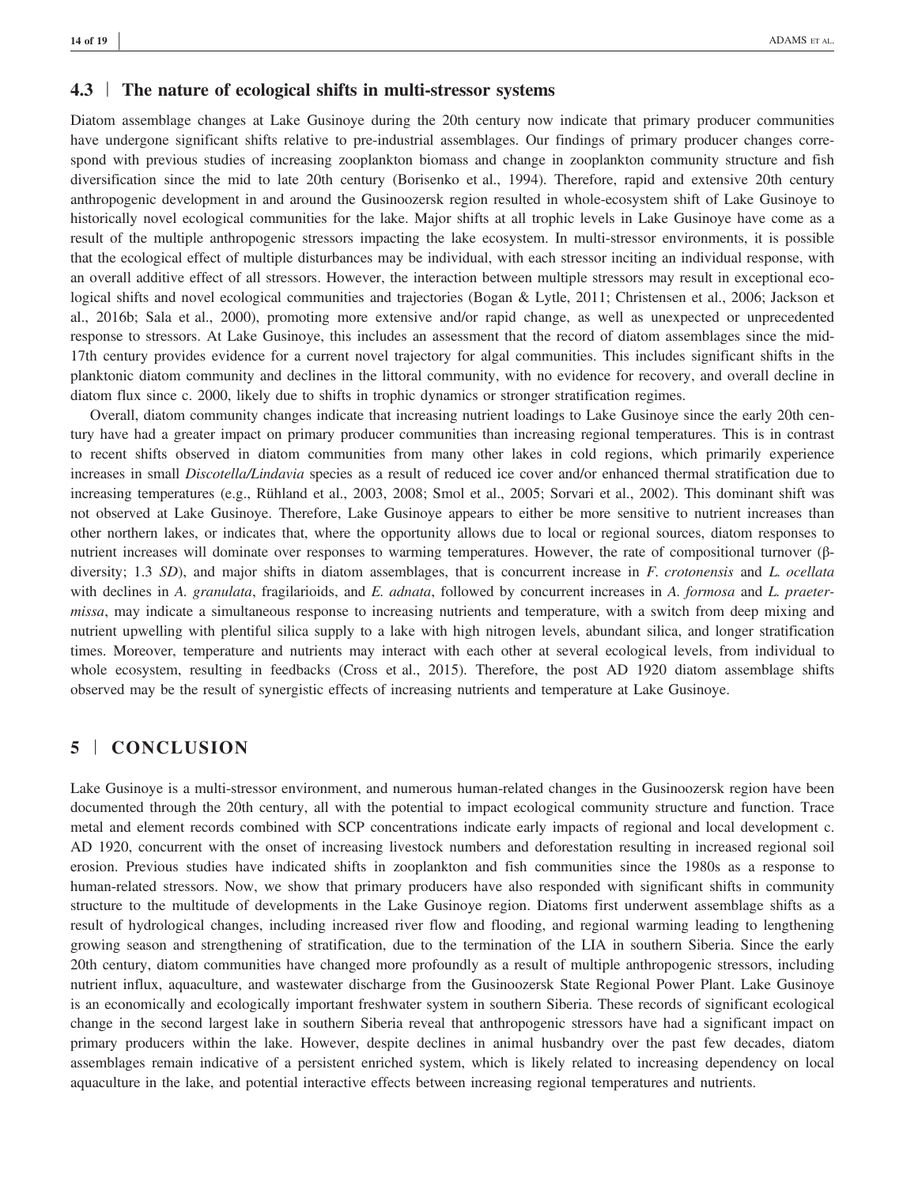## 4.3 The nature of ecological shifts in multi-stressor systems

Diatom assemblage changes at Lake Gusinoye during the 20th century now indicate that primary producer communities have undergone significant shifts relative to pre-industrial assemblages. Our findings of primary producer changes correspond with previous studies of increasing zooplankton biomass and change in zooplankton community structure and fish diversification since the mid to late 20th century (Borisenko et al., 1994). Therefore, rapid and extensive 20th century anthropogenic development in and around the Gusinoozersk region resulted in whole‐ecosystem shift of Lake Gusinoye to historically novel ecological communities for the lake. Major shifts at all trophic levels in Lake Gusinoye have come as a result of the multiple anthropogenic stressors impacting the lake ecosystem. In multi‐stressor environments, it is possible that the ecological effect of multiple disturbances may be individual, with each stressor inciting an individual response, with an overall additive effect of all stressors. However, the interaction between multiple stressors may result in exceptional ecological shifts and novel ecological communities and trajectories (Bogan & Lytle, 2011; Christensen et al., 2006; Jackson et al., 2016b; Sala et al., 2000), promoting more extensive and/or rapid change, as well as unexpected or unprecedented response to stressors. At Lake Gusinoye, this includes an assessment that the record of diatom assemblages since the mid‐ 17th century provides evidence for a current novel trajectory for algal communities. This includes significant shifts in the planktonic diatom community and declines in the littoral community, with no evidence for recovery, and overall decline in diatom flux since c. 2000, likely due to shifts in trophic dynamics or stronger stratification regimes.

Overall, diatom community changes indicate that increasing nutrient loadings to Lake Gusinoye since the early 20th century have had a greater impact on primary producer communities than increasing regional temperatures. This is in contrast to recent shifts observed in diatom communities from many other lakes in cold regions, which primarily experience increases in small *Discotella/Lindavia* species as a result of reduced ice cover and/or enhanced thermal stratification due to increasing temperatures (e.g., Rühland et al., 2003, 2008; Smol et al., 2005; Sorvari et al., 2002). This dominant shift was not observed at Lake Gusinoye. Therefore, Lake Gusinoye appears to either be more sensitive to nutrient increases than other northern lakes, or indicates that, where the opportunity allows due to local or regional sources, diatom responses to nutrient increases will dominate over responses to warming temperatures. However, the rate of compositional turnover (β– diversity; 1.3 SD), and major shifts in diatom assemblages, that is concurrent increase in F. crotonensis and L. ocellata with declines in A. granulata, fragilarioids, and E. adnata, followed by concurrent increases in A. formosa and L. praetermissa, may indicate a simultaneous response to increasing nutrients and temperature, with a switch from deep mixing and nutrient upwelling with plentiful silica supply to a lake with high nitrogen levels, abundant silica, and longer stratification times. Moreover, temperature and nutrients may interact with each other at several ecological levels, from individual to whole ecosystem, resulting in feedbacks (Cross et al., 2015). Therefore, the post AD 1920 diatom assemblage shifts observed may be the result of synergistic effects of increasing nutrients and temperature at Lake Gusinoye.

## 5 | CONCLUSION

Lake Gusinoye is a multi-stressor environment, and numerous human-related changes in the Gusinoozersk region have been documented through the 20th century, all with the potential to impact ecological community structure and function. Trace metal and element records combined with SCP concentrations indicate early impacts of regional and local development c. AD 1920, concurrent with the onset of increasing livestock numbers and deforestation resulting in increased regional soil erosion. Previous studies have indicated shifts in zooplankton and fish communities since the 1980s as a response to human-related stressors. Now, we show that primary producers have also responded with significant shifts in community structure to the multitude of developments in the Lake Gusinoye region. Diatoms first underwent assemblage shifts as a result of hydrological changes, including increased river flow and flooding, and regional warming leading to lengthening growing season and strengthening of stratification, due to the termination of the LIA in southern Siberia. Since the early 20th century, diatom communities have changed more profoundly as a result of multiple anthropogenic stressors, including nutrient influx, aquaculture, and wastewater discharge from the Gusinoozersk State Regional Power Plant. Lake Gusinoye is an economically and ecologically important freshwater system in southern Siberia. These records of significant ecological change in the second largest lake in southern Siberia reveal that anthropogenic stressors have had a significant impact on primary producers within the lake. However, despite declines in animal husbandry over the past few decades, diatom assemblages remain indicative of a persistent enriched system, which is likely related to increasing dependency on local aquaculture in the lake, and potential interactive effects between increasing regional temperatures and nutrients.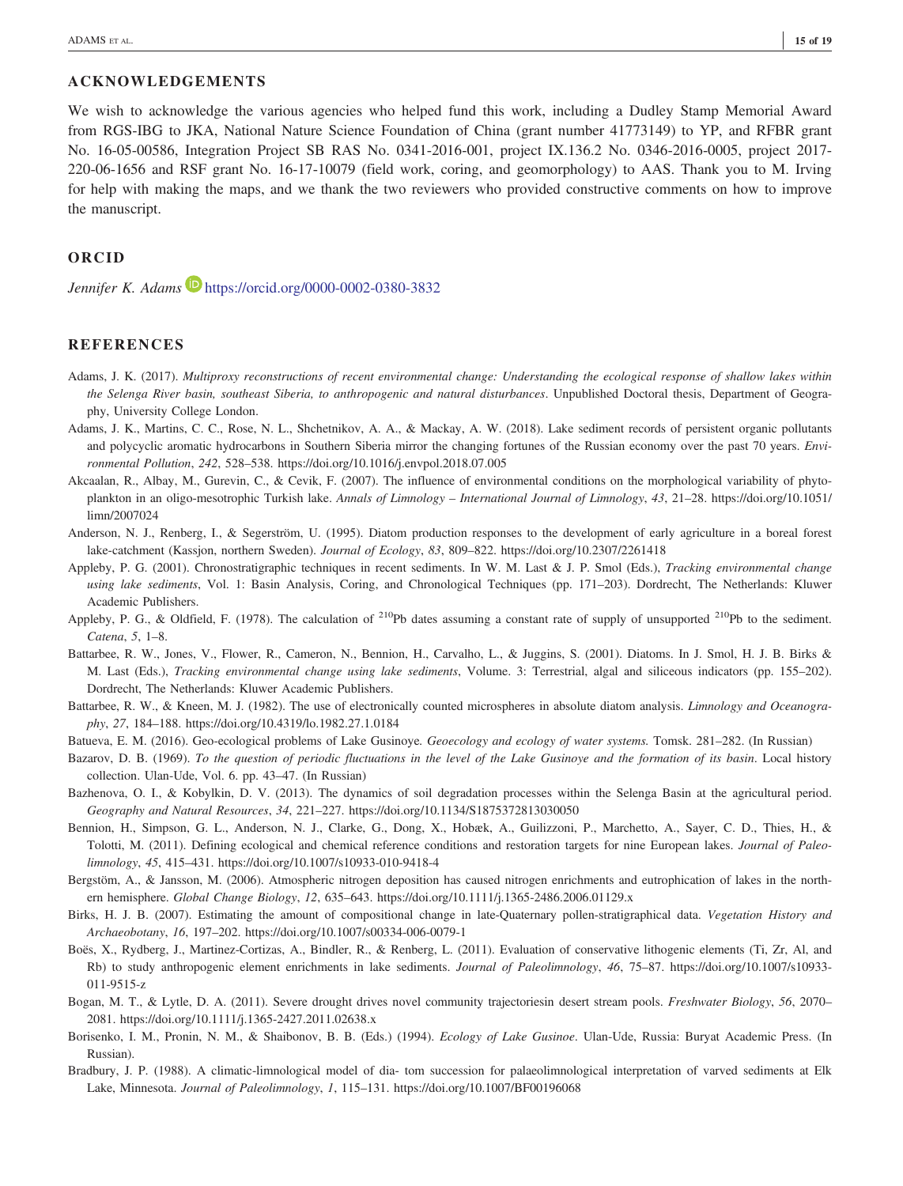### ACKNOWLEDGEMENTS

We wish to acknowledge the various agencies who helped fund this work, including a Dudley Stamp Memorial Award from RGS‐IBG to JKA, National Nature Science Foundation of China (grant number 41773149) to YP, and RFBR grant No. 16‐05‐00586, Integration Project SB RAS No. 0341‐2016‐001, project IX.136.2 No. 0346‐2016‐0005, project 2017‐ 220‐06‐1656 and RSF grant No. 16‐17‐10079 (field work, coring, and geomorphology) to AAS. Thank you to M. Irving for help with making the maps, and we thank the two reviewers who provided constructive comments on how to improve the manuscript.

## ORCID

Jennifer K. Adams  $\blacksquare$  https://orcid.org/0000-0002-0380-3832

## **REFERENCES**

- Adams, J. K. (2017). Multiproxy reconstructions of recent environmental change: Understanding the ecological response of shallow lakes within the Selenga River basin, southeast Siberia, to anthropogenic and natural disturbances. Unpublished Doctoral thesis, Department of Geography, University College London.
- Adams, J. K., Martins, C. C., Rose, N. L., Shchetnikov, A. A., & Mackay, A. W. (2018). Lake sediment records of persistent organic pollutants and polycyclic aromatic hydrocarbons in Southern Siberia mirror the changing fortunes of the Russian economy over the past 70 years. Environmental Pollution, 242, 528–538.<https://doi.org/10.1016/j.envpol.2018.07.005>
- Akcaalan, R., Albay, M., Gurevin, C., & Cevik, F. (2007). The influence of environmental conditions on the morphological variability of phytoplankton in an oligo-mesotrophic Turkish lake. Annals of Limnology – International Journal of Limnology, 43, 21–28. [https://doi.org/10.1051/](https://doi.org/10.1051/limn/2007024) [limn/2007024](https://doi.org/10.1051/limn/2007024)
- Anderson, N. J., Renberg, I., & Segerström, U. (1995). Diatom production responses to the development of early agriculture in a boreal forest lake‐catchment (Kassjon, northern Sweden). Journal of Ecology, 83, 809–822.<https://doi.org/10.2307/2261418>
- Appleby, P. G. (2001). Chronostratigraphic techniques in recent sediments. In W. M. Last & J. P. Smol (Eds.), Tracking environmental change using lake sediments, Vol. 1: Basin Analysis, Coring, and Chronological Techniques (pp. 171–203). Dordrecht, The Netherlands: Kluwer Academic Publishers.
- Appleby, P. G., & Oldfield, F. (1978). The calculation of <sup>210</sup>Pb dates assuming a constant rate of supply of unsupported <sup>210</sup>Pb to the sediment. Catena, 5, 1–8.
- Battarbee, R. W., Jones, V., Flower, R., Cameron, N., Bennion, H., Carvalho, L., & Juggins, S. (2001). Diatoms. In J. Smol, H. J. B. Birks & M. Last (Eds.), Tracking environmental change using lake sediments, Volume. 3: Terrestrial, algal and siliceous indicators (pp. 155–202). Dordrecht, The Netherlands: Kluwer Academic Publishers.
- Battarbee, R. W., & Kneen, M. J. (1982). The use of electronically counted microspheres in absolute diatom analysis. Limnology and Oceanography, 27, 184–188.<https://doi.org/10.4319/lo.1982.27.1.0184>
- Batueva, E. M. (2016). Geo-ecological problems of Lake Gusinoye. Geoecology and ecology of water systems. Tomsk. 281–282. (In Russian)
- Bazarov, D. B. (1969). To the question of periodic fluctuations in the level of the Lake Gusinoye and the formation of its basin. Local history collection. Ulan-Ude, Vol. 6. pp. 43–47. (In Russian)
- Bazhenova, O. I., & Kobylkin, D. V. (2013). The dynamics of soil degradation processes within the Selenga Basin at the agricultural period. Geography and Natural Resources, 34, 221–227.<https://doi.org/10.1134/S1875372813030050>
- Bennion, H., Simpson, G. L., Anderson, N. J., Clarke, G., Dong, X., Hobæk, A., Guilizzoni, P., Marchetto, A., Sayer, C. D., Thies, H., & Tolotti, M. (2011). Defining ecological and chemical reference conditions and restoration targets for nine European lakes. *Journal of Paleo*limnology, 45, 415–431.<https://doi.org/10.1007/s10933-010-9418-4>
- Bergstöm, A., & Jansson, M. (2006). Atmospheric nitrogen deposition has caused nitrogen enrichments and eutrophication of lakes in the northern hemisphere. Global Change Biology, 12, 635–643.<https://doi.org/10.1111/j.1365-2486.2006.01129.x>
- Birks, H. J. B. (2007). Estimating the amount of compositional change in late-Quaternary pollen-stratigraphical data. Vegetation History and Archaeobotany, 16, 197–202.<https://doi.org/10.1007/s00334-006-0079-1>
- Boës, X., Rydberg, J., Martinez-Cortizas, A., Bindler, R., & Renberg, L. (2011). Evaluation of conservative lithogenic elements (Ti, Zr, Al, and Rb) to study anthropogenic element enrichments in lake sediments. Journal of Paleolimnology, 46, 75–87. [https://doi.org/10.1007/s10933-](https://doi.org/10.1007/s10933-011-9515-z) [011-9515-z](https://doi.org/10.1007/s10933-011-9515-z)
- Bogan, M. T., & Lytle, D. A. (2011). Severe drought drives novel community trajectoriesin desert stream pools. Freshwater Biology, 56, 2070– 2081.<https://doi.org/10.1111/j.1365-2427.2011.02638.x>
- Borisenko, I. M., Pronin, N. M., & Shaibonov, B. B. (Eds.) (1994). Ecology of Lake Gusinoe. Ulan-Ude, Russia: Buryat Academic Press. (In Russian).
- Bradbury, J. P. (1988). A climatic‐limnological model of dia‐ tom succession for palaeolimnological interpretation of varved sediments at Elk Lake, Minnesota. Journal of Paleolimnology, 1, 115–131.<https://doi.org/10.1007/BF00196068>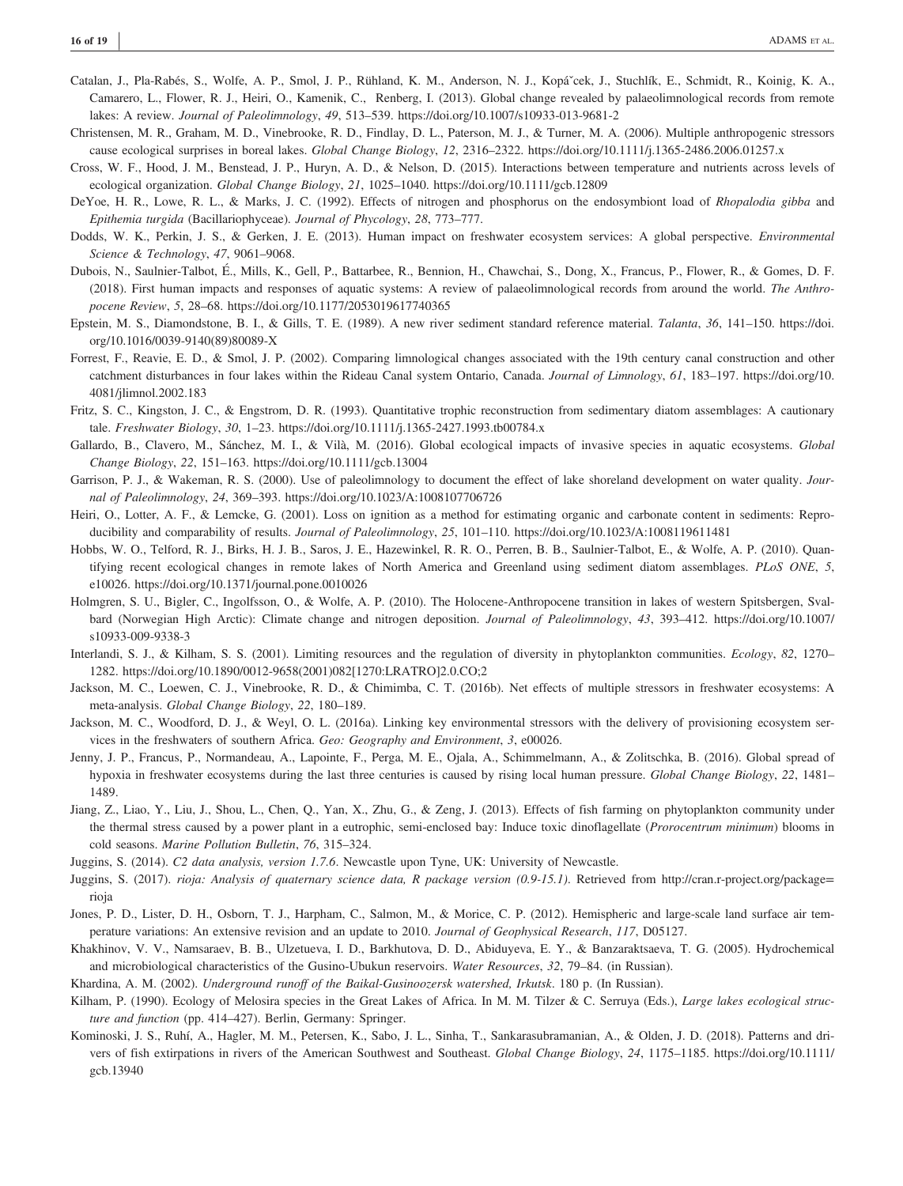- Catalan, J., Pla-Rabés, S., Wolfe, A. P., Smol, J. P., Rühland, K. M., Anderson, N. J., Kopáˇcek, J., Stuchlík, E., Schmidt, R., Koinig, K. A., Camarero, L., Flower, R. J., Heiri, O., Kamenik, C., Renberg, I. (2013). Global change revealed by palaeolimnological records from remote lakes: A review. Journal of Paleolimnology, 49, 513–539.<https://doi.org/10.1007/s10933-013-9681-2>
- Christensen, M. R., Graham, M. D., Vinebrooke, R. D., Findlay, D. L., Paterson, M. J., & Turner, M. A. (2006). Multiple anthropogenic stressors cause ecological surprises in boreal lakes. Global Change Biology, 12, 2316-2322.<https://doi.org/10.1111/j.1365-2486.2006.01257.x>
- Cross, W. F., Hood, J. M., Benstead, J. P., Huryn, A. D., & Nelson, D. (2015). Interactions between temperature and nutrients across levels of ecological organization. Global Change Biology, 21, 1025–1040.<https://doi.org/10.1111/gcb.12809>
- DeYoe, H. R., Lowe, R. L., & Marks, J. C. (1992). Effects of nitrogen and phosphorus on the endosymbiont load of Rhopalodia gibba and Epithemia turgida (Bacillariophyceae). Journal of Phycology, 28, 773–777.
- Dodds, W. K., Perkin, J. S., & Gerken, J. E. (2013). Human impact on freshwater ecosystem services: A global perspective. Environmental Science & Technology, 47, 9061–9068.
- Dubois, N., Saulnier-Talbot, É., Mills, K., Gell, P., Battarbee, R., Bennion, H., Chawchai, S., Dong, X., Francus, P., Flower, R., & Gomes, D. F. (2018). First human impacts and responses of aquatic systems: A review of palaeolimnological records from around the world. The Anthropocene Review, 5, 28–68.<https://doi.org/10.1177/2053019617740365>
- Epstein, M. S., Diamondstone, B. I., & Gills, T. E. (1989). A new river sediment standard reference material. Talanta, 36, 141–150. [https://doi.](https://doi.org/10.1016/0039-9140(89)80089-X) [org/10.1016/0039-9140\(89\)80089-X](https://doi.org/10.1016/0039-9140(89)80089-X)
- Forrest, F., Reavie, E. D., & Smol, J. P. (2002). Comparing limnological changes associated with the 19th century canal construction and other catchment disturbances in four lakes within the Rideau Canal system Ontario, Canada. Journal of Limnology, 61, 183–197. [https://doi.org/10.](https://doi.org/10.4081/jlimnol.2002.183) [4081/jlimnol.2002.183](https://doi.org/10.4081/jlimnol.2002.183)
- Fritz, S. C., Kingston, J. C., & Engstrom, D. R. (1993). Quantitative trophic reconstruction from sedimentary diatom assemblages: A cautionary tale. Freshwater Biology, 30, 1–23.<https://doi.org/10.1111/j.1365-2427.1993.tb00784.x>
- Gallardo, B., Clavero, M., Sánchez, M. I., & Vilà, M. (2016). Global ecological impacts of invasive species in aquatic ecosystems. Global Change Biology, 22, 151–163.<https://doi.org/10.1111/gcb.13004>
- Garrison, P. J., & Wakeman, R. S. (2000). Use of paleolimnology to document the effect of lake shoreland development on water quality. Journal of Paleolimnology, 24, 369–393.<https://doi.org/10.1023/A:1008107706726>
- Heiri, O., Lotter, A. F., & Lemcke, G. (2001). Loss on ignition as a method for estimating organic and carbonate content in sediments: Reproducibility and comparability of results. Journal of Paleolimnology, 25, 101-110.<https://doi.org/10.1023/A:1008119611481>
- Hobbs, W. O., Telford, R. J., Birks, H. J. B., Saros, J. E., Hazewinkel, R. R. O., Perren, B. B., Saulnier-Talbot, E., & Wolfe, A. P. (2010). Quantifying recent ecological changes in remote lakes of North America and Greenland using sediment diatom assemblages. PLoS ONE, 5, e10026.<https://doi.org/10.1371/journal.pone.0010026>
- Holmgren, S. U., Bigler, C., Ingolfsson, O., & Wolfe, A. P. (2010). The Holocene‐Anthropocene transition in lakes of western Spitsbergen, Svalbard (Norwegian High Arctic): Climate change and nitrogen deposition. Journal of Paleolimnology, 43, 393–412. [https://doi.org/10.1007/](https://doi.org/10.1007/s10933-009-9338-3) [s10933-009-9338-3](https://doi.org/10.1007/s10933-009-9338-3)
- Interlandi, S. J., & Kilham, S. S. (2001). Limiting resources and the regulation of diversity in phytoplankton communities. Ecology, 82, 1270– 1282. [https://doi.org/10.1890/0012-9658\(2001\)082\[1270:LRATRO\]2.0.CO;2](https://doi.org/10.1890/0012-9658(2001)082%5b1270:LRATRO%5d2.0.CO;2)
- Jackson, M. C., Loewen, C. J., Vinebrooke, R. D., & Chimimba, C. T. (2016b). Net effects of multiple stressors in freshwater ecosystems: A meta‐analysis. Global Change Biology, 22, 180–189.
- Jackson, M. C., Woodford, D. J., & Weyl, O. L. (2016a). Linking key environmental stressors with the delivery of provisioning ecosystem services in the freshwaters of southern Africa. Geo: Geography and Environment, 3, e00026.
- Jenny, J. P., Francus, P., Normandeau, A., Lapointe, F., Perga, M. E., Ojala, A., Schimmelmann, A., & Zolitschka, B. (2016). Global spread of hypoxia in freshwater ecosystems during the last three centuries is caused by rising local human pressure. Global Change Biology, 22, 1481– 1489.
- Jiang, Z., Liao, Y., Liu, J., Shou, L., Chen, Q., Yan, X., Zhu, G., & Zeng, J. (2013). Effects of fish farming on phytoplankton community under the thermal stress caused by a power plant in a eutrophic, semi-enclosed bay: Induce toxic dinoflagellate (Prorocentrum minimum) blooms in cold seasons. Marine Pollution Bulletin, 76, 315–324.
- Juggins, S. (2014). C2 data analysis, version 1.7.6. Newcastle upon Tyne, UK: University of Newcastle.
- Juggins, S. (2017). rioja: Analysis of quaternary science data, R package version (0.9-15.1). Retrieved from [http://cran.r-project.org/package=](http://cran.r-project.org/package=rioja) [rioja](http://cran.r-project.org/package=rioja)
- Jones, P. D., Lister, D. H., Osborn, T. J., Harpham, C., Salmon, M., & Morice, C. P. (2012). Hemispheric and large-scale land surface air temperature variations: An extensive revision and an update to 2010. Journal of Geophysical Research, 117, D05127.
- Khakhinov, V. V., Namsaraev, B. B., Ulzetueva, I. D., Barkhutova, D. D., Abiduyeva, E. Y., & Banzaraktsaeva, T. G. (2005). Hydrochemical and microbiological characteristics of the Gusino-Ubukun reservoirs. Water Resources, 32, 79–84. (in Russian).
- Khardina, A. M. (2002). Underground runoff of the Baikal-Gusinoozersk watershed, Irkutsk. 180 p. (In Russian).
- Kilham, P. (1990). Ecology of Melosira species in the Great Lakes of Africa. In M. M. Tilzer & C. Serruya (Eds.), Large lakes ecological structure and function (pp. 414–427). Berlin, Germany: Springer.
- Kominoski, J. S., Ruhí, A., Hagler, M. M., Petersen, K., Sabo, J. L., Sinha, T., Sankarasubramanian, A., & Olden, J. D. (2018). Patterns and drivers of fish extirpations in rivers of the American Southwest and Southeast. Global Change Biology, 24, 1175–1185. [https://doi.org/10.1111/](https://doi.org/10.1111/gcb.13940) [gcb.13940](https://doi.org/10.1111/gcb.13940)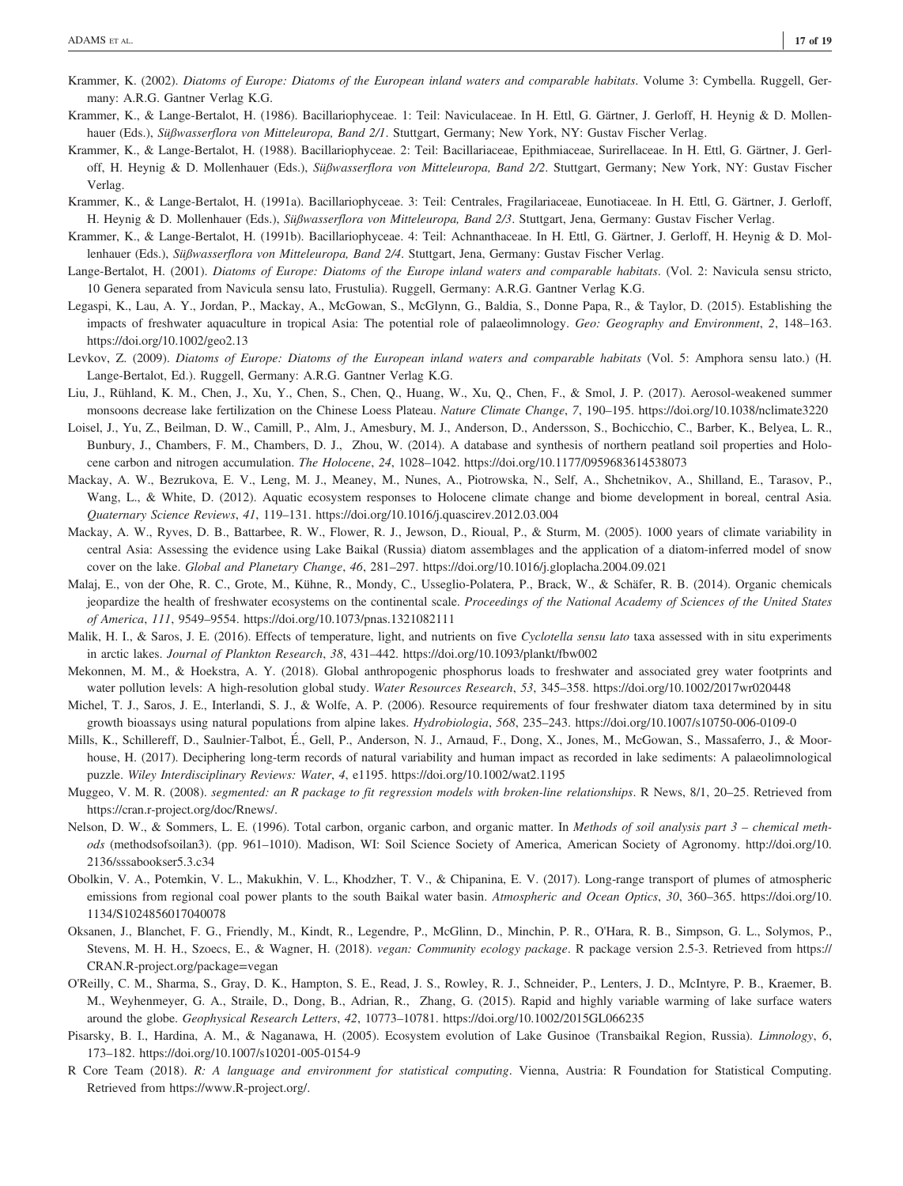- Krammer, K. (2002). Diatoms of Europe: Diatoms of the European inland waters and comparable habitats. Volume 3: Cymbella. Ruggell, Germany: A.R.G. Gantner Verlag K.G.
- Krammer, K., & Lange-Bertalot, H. (1986). Bacillariophyceae. 1: Teil: Naviculaceae. In H. Ettl, G. Gärtner, J. Gerloff, H. Heynig & D. Mollenhauer (Eds.), Süßwasserflora von Mitteleuropa, Band 2/1. Stuttgart, Germany; New York, NY: Gustav Fischer Verlag.
- Krammer, K., & Lange-Bertalot, H. (1988). Bacillariophyceae. 2: Teil: Bacillariaceae, Epithmiaceae, Surirellaceae. In H. Ettl, G. Gärtner, J. Gerloff, H. Heynig & D. Mollenhauer (Eds.), Süßwasserflora von Mitteleuropa, Band 2/2. Stuttgart, Germany; New York, NY: Gustav Fischer Verlag.
- Krammer, K., & Lange-Bertalot, H. (1991a). Bacillariophyceae. 3: Teil: Centrales, Fragilariaceae, Eunotiaceae. In H. Ettl, G. Gärtner, J. Gerloff, H. Heynig & D. Mollenhauer (Eds.), Süßwasserflora von Mitteleuropa, Band 2/3. Stuttgart, Jena, Germany: Gustav Fischer Verlag
- Krammer, K., & Lange-Bertalot, H. (1991b). Bacillariophyceae. 4: Teil: Achnanthaceae. In H. Ettl, G. Gärtner, J. Gerloff, H. Heynig & D. Mollenhauer (Eds.), Süßwasserflora von Mitteleuropa, Band 2/4. Stuttgart, Jena, Germany: Gustav Fischer Verlag.
- Lange-Bertalot, H. (2001). Diatoms of Europe: Diatoms of the Europe inland waters and comparable habitats. (Vol. 2: Navicula sensu stricto, 10 Genera separated from Navicula sensu lato, Frustulia). Ruggell, Germany: A.R.G. Gantner Verlag K.G.
- Legaspi, K., Lau, A. Y., Jordan, P., Mackay, A., McGowan, S., McGlynn, G., Baldia, S., Donne Papa, R., & Taylor, D. (2015). Establishing the impacts of freshwater aquaculture in tropical Asia: The potential role of palaeolimnology. Geo: Geography and Environment, 2, 148–163. <https://doi.org/10.1002/geo2.13>
- Levkov, Z. (2009). Diatoms of Europe: Diatoms of the European inland waters and comparable habitats (Vol. 5: Amphora sensu lato.) (H. Lange-Bertalot, Ed.). Ruggell, Germany: A.R.G. Gantner Verlag K.G.
- Liu, J., Rühland, K. M., Chen, J., Xu, Y., Chen, S., Chen, Q., Huang, W., Xu, Q., Chen, F., & Smol, J. P. (2017). Aerosol‐weakened summer monsoons decrease lake fertilization on the Chinese Loess Plateau. Nature Climate Change, 7, 190-195.<https://doi.org/10.1038/nclimate3220>
- Loisel, J., Yu, Z., Beilman, D. W., Camill, P., Alm, J., Amesbury, M. J., Anderson, D., Andersson, S., Bochicchio, C., Barber, K., Belyea, L. R., Bunbury, J., Chambers, F. M., Chambers, D. J., Zhou, W. (2014). A database and synthesis of northern peatland soil properties and Holocene carbon and nitrogen accumulation. The Holocene, 24, 1028–1042.<https://doi.org/10.1177/0959683614538073>
- Mackay, A. W., Bezrukova, E. V., Leng, M. J., Meaney, M., Nunes, A., Piotrowska, N., Self, A., Shchetnikov, A., Shilland, E., Tarasov, P., Wang, L., & White, D. (2012). Aquatic ecosystem responses to Holocene climate change and biome development in boreal, central Asia. Quaternary Science Reviews, 41, 119–131.<https://doi.org/10.1016/j.quascirev.2012.03.004>
- Mackay, A. W., Ryves, D. B., Battarbee, R. W., Flower, R. J., Jewson, D., Rioual, P., & Sturm, M. (2005). 1000 years of climate variability in central Asia: Assessing the evidence using Lake Baikal (Russia) diatom assemblages and the application of a diatom‐inferred model of snow cover on the lake. Global and Planetary Change, 46, 281–297.<https://doi.org/10.1016/j.gloplacha.2004.09.021>
- Malaj, E., von der Ohe, R. C., Grote, M., Kühne, R., Mondy, C., Usseglio-Polatera, P., Brack, W., & Schäfer, R. B. (2014). Organic chemicals jeopardize the health of freshwater ecosystems on the continental scale. Proceedings of the National Academy of Sciences of the United States of America, 111, 9549–9554.<https://doi.org/10.1073/pnas.1321082111>
- Malik, H. I., & Saros, J. E. (2016). Effects of temperature, light, and nutrients on five Cyclotella sensu lato taxa assessed with in situ experiments in arctic lakes. Journal of Plankton Research, 38, 431–442.<https://doi.org/10.1093/plankt/fbw002>
- Mekonnen, M. M., & Hoekstra, A. Y. (2018). Global anthropogenic phosphorus loads to freshwater and associated grey water footprints and water pollution levels: A high-resolution global study. Water Resources Research, 53, 345-358.<https://doi.org/10.1002/2017wr020448>
- Michel, T. J., Saros, J. E., Interlandi, S. J., & Wolfe, A. P. (2006). Resource requirements of four freshwater diatom taxa determined by in situ growth bioassays using natural populations from alpine lakes. Hydrobiologia, 568, 235–243.<https://doi.org/10.1007/s10750-006-0109-0>
- Mills, K., Schillereff, D., Saulnier-Talbot, É., Gell, P., Anderson, N. J., Arnaud, F., Dong, X., Jones, M., McGowan, S., Massaferro, J., & Moorhouse, H. (2017). Deciphering long-term records of natural variability and human impact as recorded in lake sediments: A palaeolimnological puzzle. Wiley Interdisciplinary Reviews: Water, 4, e1195.<https://doi.org/10.1002/wat2.1195>
- Muggeo, V. M. R. (2008). segmented: an R package to fit regression models with broken-line relationships. R News, 8/1, 20–25. Retrieved from <https://cran.r-project.org/doc/Rnews/>.
- Nelson, D. W., & Sommers, L. E. (1996). Total carbon, organic carbon, and organic matter. In Methods of soil analysis part 3 chemical methods (methodsofsoilan3). (pp. 961–1010). Madison, WI: Soil Science Society of America, American Society of Agronomy. [http://doi.org/10.](http://doi.org/10.2136/sssabookser5.3.c34) [2136/sssabookser5.3.c34](http://doi.org/10.2136/sssabookser5.3.c34)
- Obolkin, V. A., Potemkin, V. L., Makukhin, V. L., Khodzher, T. V., & Chipanina, E. V. (2017). Long-range transport of plumes of atmospheric emissions from regional coal power plants to the south Baikal water basin. Atmospheric and Ocean Optics, 30, 360-365. [https://doi.org/10.](https://doi.org/10.1134/S1024856017040078) [1134/S1024856017040078](https://doi.org/10.1134/S1024856017040078)
- Oksanen, J., Blanchet, F. G., Friendly, M., Kindt, R., Legendre, P., McGlinn, D., Minchin, P. R., O'Hara, R. B., Simpson, G. L., Solymos, P., Stevens, M. H. H., Szoecs, E., & Wagner, H. (2018). vegan: Community ecology package. R package version 2.5-3. Retrieved from [https://](https://CRAN.R-project.org/package=vegan) [CRAN.R-project.org/package=vegan](https://CRAN.R-project.org/package=vegan)
- O'Reilly, C. M., Sharma, S., Gray, D. K., Hampton, S. E., Read, J. S., Rowley, R. J., Schneider, P., Lenters, J. D., McIntyre, P. B., Kraemer, B. M., Weyhenmeyer, G. A., Straile, D., Dong, B., Adrian, R., Zhang, G. (2015). Rapid and highly variable warming of lake surface waters around the globe. Geophysical Research Letters, 42, 10773–10781.<https://doi.org/10.1002/2015GL066235>
- Pisarsky, B. I., Hardina, A. M., & Naganawa, H. (2005). Ecosystem evolution of Lake Gusinoe (Transbaikal Region, Russia). Limnology, 6, 173–182.<https://doi.org/10.1007/s10201-005-0154-9>
- R Core Team (2018). R: A language and environment for statistical computing. Vienna, Austria: R Foundation for Statistical Computing. Retrieved from [https://www.R-project.org/.](https://www.R-project.org/)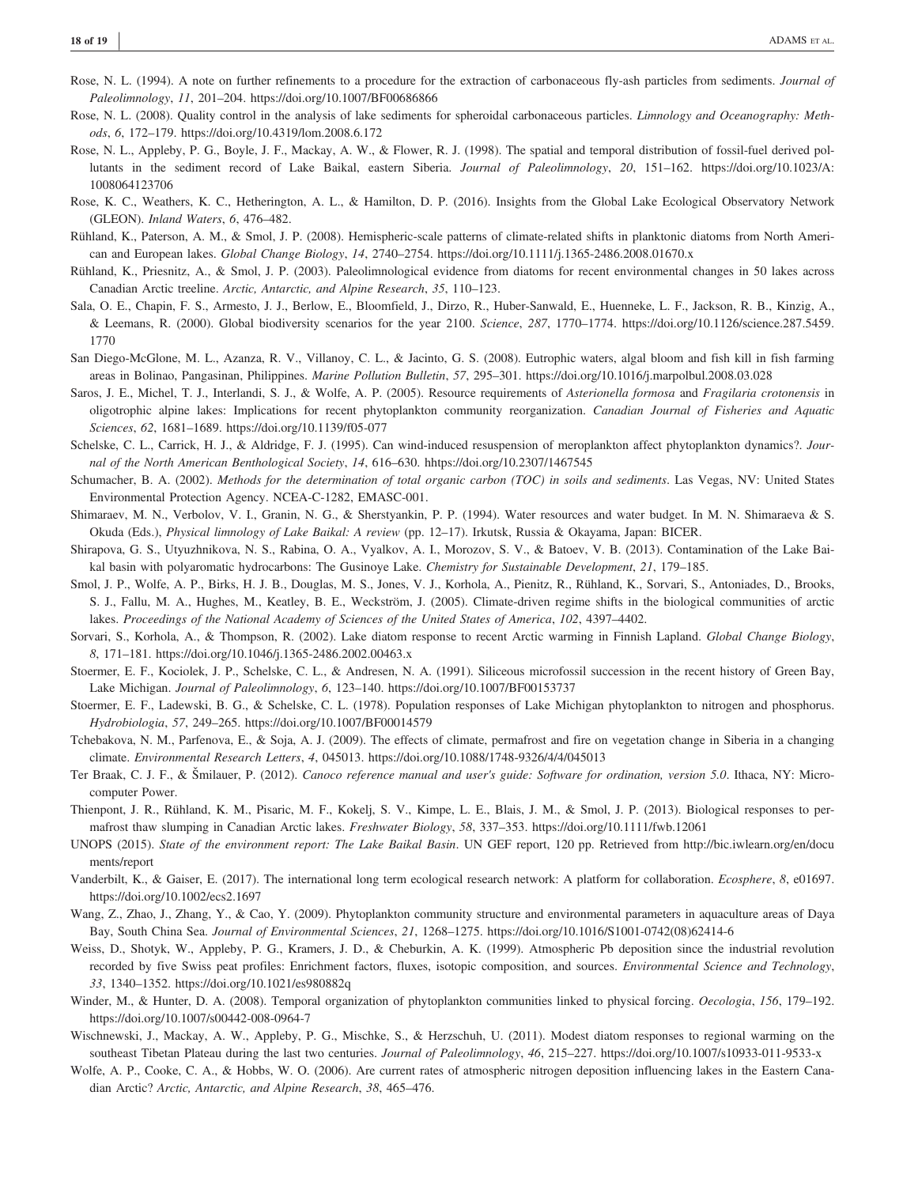- Rose, N. L. (1994). A note on further refinements to a procedure for the extraction of carbonaceous fly-ash particles from sediments. Journal of Paleolimnology, 11, 201–204.<https://doi.org/10.1007/BF00686866>
- Rose, N. L. (2008). Quality control in the analysis of lake sediments for spheroidal carbonaceous particles. Limnology and Oceanography: Methods, 6, 172–179.<https://doi.org/10.4319/lom.2008.6.172>
- Rose, N. L., Appleby, P. G., Boyle, J. F., Mackay, A. W., & Flower, R. J. (1998). The spatial and temporal distribution of fossil‐fuel derived pollutants in the sediment record of Lake Baikal, eastern Siberia. Journal of Paleolimnology, 20, 151–162. [https://doi.org/10.1023/A:](https://doi.org/10.1023/A:1008064123706) [1008064123706](https://doi.org/10.1023/A:1008064123706)
- Rose, K. C., Weathers, K. C., Hetherington, A. L., & Hamilton, D. P. (2016). Insights from the Global Lake Ecological Observatory Network (GLEON). Inland Waters, 6, 476–482.
- Rühland, K., Paterson, A. M., & Smol, J. P. (2008). Hemispheric‐scale patterns of climate‐related shifts in planktonic diatoms from North American and European lakes. Global Change Biology, 14, 2740–2754.<https://doi.org/10.1111/j.1365-2486.2008.01670.x>
- Rühland, K., Priesnitz, A., & Smol, J. P. (2003). Paleolimnological evidence from diatoms for recent environmental changes in 50 lakes across Canadian Arctic treeline. Arctic, Antarctic, and Alpine Research, 35, 110–123.
- Sala, O. E., Chapin, F. S., Armesto, J. J., Berlow, E., Bloomfield, J., Dirzo, R., Huber-Sanwald, E., Huenneke, L. F., Jackson, R. B., Kinzig, A., & Leemans, R. (2000). Global biodiversity scenarios for the year 2100. Science, 287, 1770–1774. [https://doi.org/10.1126/science.287.5459.](https://doi.org/10.1126/science.287.5459.1770) [1770](https://doi.org/10.1126/science.287.5459.1770)
- San Diego-McGlone, M. L., Azanza, R. V., Villanoy, C. L., & Jacinto, G. S. (2008). Eutrophic waters, algal bloom and fish kill in fish farming areas in Bolinao, Pangasinan, Philippines. Marine Pollution Bulletin, 57, 295–301.<https://doi.org/10.1016/j.marpolbul.2008.03.028>
- Saros, J. E., Michel, T. J., Interlandi, S. J., & Wolfe, A. P. (2005). Resource requirements of Asterionella formosa and Fragilaria crotonensis in oligotrophic alpine lakes: Implications for recent phytoplankton community reorganization. Canadian Journal of Fisheries and Aquatic Sciences, 62, 1681–1689.<https://doi.org/10.1139/f05-077>
- Schelske, C. L., Carrick, H. J., & Aldridge, F. J. (1995). Can wind‐induced resuspension of meroplankton affect phytoplankton dynamics?. Journal of the North American Benthological Society, 14, 616–630. hhtps://doi.org/10.2307/1467545
- Schumacher, B. A. (2002). Methods for the determination of total organic carbon (TOC) in soils and sediments. Las Vegas, NV: United States Environmental Protection Agency. NCEA-C-1282, EMASC-001.
- Shimaraev, M. N., Verbolov, V. I., Granin, N. G., & Sherstyankin, P. P. (1994). Water resources and water budget. In M. N. Shimaraeva & S. Okuda (Eds.), Physical limnology of Lake Baikal: A review (pp. 12–17). Irkutsk, Russia & Okayama, Japan: BICER.
- Shirapova, G. S., Utyuzhnikova, N. S., Rabina, O. A., Vyalkov, A. I., Morozov, S. V., & Batoev, V. B. (2013). Contamination of the Lake Baikal basin with polyaromatic hydrocarbons: The Gusinoye Lake. Chemistry for Sustainable Development, 21, 179-185.
- Smol, J. P., Wolfe, A. P., Birks, H. J. B., Douglas, M. S., Jones, V. J., Korhola, A., Pienitz, R., Rühland, K., Sorvari, S., Antoniades, D., Brooks, S. J., Fallu, M. A., Hughes, M., Keatley, B. E., Weckström, J. (2005). Climate‐driven regime shifts in the biological communities of arctic lakes. Proceedings of the National Academy of Sciences of the United States of America, 102, 4397–4402.
- Sorvari, S., Korhola, A., & Thompson, R. (2002). Lake diatom response to recent Arctic warming in Finnish Lapland. Global Change Biology, 8, 171–181.<https://doi.org/10.1046/j.1365-2486.2002.00463.x>
- Stoermer, E. F., Kociolek, J. P., Schelske, C. L., & Andresen, N. A. (1991). Siliceous microfossil succession in the recent history of Green Bay, Lake Michigan. Journal of Paleolimnology, 6, 123–140.<https://doi.org/10.1007/BF00153737>
- Stoermer, E. F., Ladewski, B. G., & Schelske, C. L. (1978). Population responses of Lake Michigan phytoplankton to nitrogen and phosphorus. Hydrobiologia, 57, 249–265.<https://doi.org/10.1007/BF00014579>
- Tchebakova, N. M., Parfenova, E., & Soja, A. J. (2009). The effects of climate, permafrost and fire on vegetation change in Siberia in a changing climate. Environmental Research Letters, 4, 045013.<https://doi.org/10.1088/1748-9326/4/4/045013>
- Ter Braak, C. J. F., & Šmilauer, P. (2012). Canoco reference manual and user's guide: Software for ordination, version 5.0. Ithaca, NY: Microcomputer Power.
- Thienpont, J. R., Rühland, K. M., Pisaric, M. F., Kokelj, S. V., Kimpe, L. E., Blais, J. M., & Smol, J. P. (2013). Biological responses to permafrost thaw slumping in Canadian Arctic lakes. Freshwater Biology, 58, 337–353.<https://doi.org/10.1111/fwb.12061>
- UNOPS (2015). State of the environment report: The Lake Baikal Basin. UN GEF report, 120 pp. Retrieved from [http://bic.iwlearn.org/en/docu](http://bic.iwlearn.org/en/documents/report) [ments/report](http://bic.iwlearn.org/en/documents/report)
- Vanderbilt, K., & Gaiser, E. (2017). The international long term ecological research network: A platform for collaboration. Ecosphere, 8, e01697. <https://doi.org/10.1002/ecs2.1697>
- Wang, Z., Zhao, J., Zhang, Y., & Cao, Y. (2009). Phytoplankton community structure and environmental parameters in aquaculture areas of Daya Bay, South China Sea. Journal of Environmental Sciences, 21, 1268–1275. [https://doi.org/10.1016/S1001-0742\(08\)62414-6](https://doi.org/10.1016/S1001-0742(08)62414-6)
- Weiss, D., Shotyk, W., Appleby, P. G., Kramers, J. D., & Cheburkin, A. K. (1999). Atmospheric Pb deposition since the industrial revolution recorded by five Swiss peat profiles: Enrichment factors, fluxes, isotopic composition, and sources. Environmental Science and Technology, 33, 1340–1352.<https://doi.org/10.1021/es980882q>
- Winder, M., & Hunter, D. A. (2008). Temporal organization of phytoplankton communities linked to physical forcing. Oecologia, 156, 179-192. <https://doi.org/10.1007/s00442-008-0964-7>
- Wischnewski, J., Mackay, A. W., Appleby, P. G., Mischke, S., & Herzschuh, U. (2011). Modest diatom responses to regional warming on the southeast Tibetan Plateau during the last two centuries. Journal of Paleolimnology, 46, 215–227.<https://doi.org/10.1007/s10933-011-9533-x>
- Wolfe, A. P., Cooke, C. A., & Hobbs, W. O. (2006). Are current rates of atmospheric nitrogen deposition influencing lakes in the Eastern Canadian Arctic? Arctic, Antarctic, and Alpine Research, 38, 465–476.